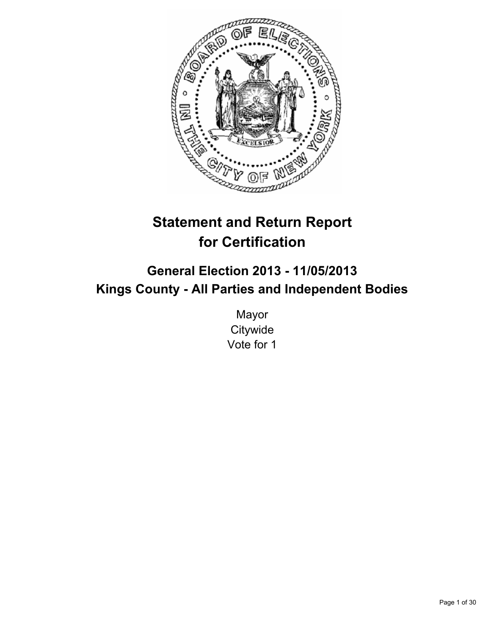

# **Statement and Return Report for Certification**

## **General Election 2013 - 11/05/2013 Kings County - All Parties and Independent Bodies**

Mayor **Citywide** Vote for 1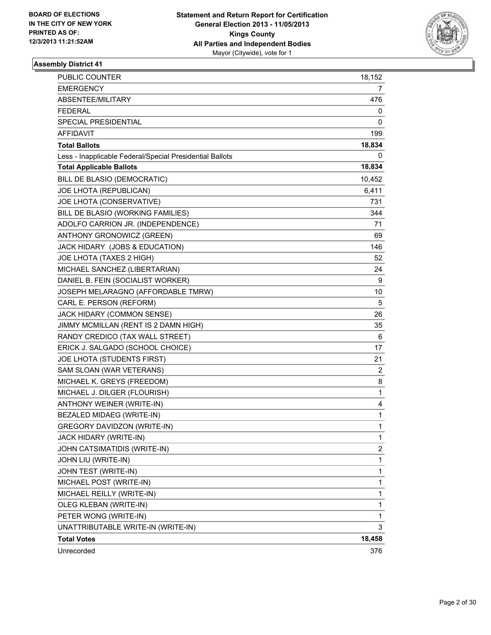

| <b>PUBLIC COUNTER</b>                                    | 18,152       |
|----------------------------------------------------------|--------------|
| <b>EMERGENCY</b>                                         | 7            |
| ABSENTEE/MILITARY                                        | 476          |
| <b>FEDERAL</b>                                           | 0            |
| <b>SPECIAL PRESIDENTIAL</b>                              | 0            |
| <b>AFFIDAVIT</b>                                         | 199          |
| <b>Total Ballots</b>                                     | 18,834       |
| Less - Inapplicable Federal/Special Presidential Ballots | 0            |
| <b>Total Applicable Ballots</b>                          | 18,834       |
| BILL DE BLASIO (DEMOCRATIC)                              | 10,452       |
| JOE LHOTA (REPUBLICAN)                                   | 6,411        |
| JOE LHOTA (CONSERVATIVE)                                 | 731          |
| BILL DE BLASIO (WORKING FAMILIES)                        | 344          |
| ADOLFO CARRION JR. (INDEPENDENCE)                        | 71           |
| ANTHONY GRONOWICZ (GREEN)                                | 69           |
| JACK HIDARY (JOBS & EDUCATION)                           | 146          |
| JOE LHOTA (TAXES 2 HIGH)                                 | 52           |
| MICHAEL SANCHEZ (LIBERTARIAN)                            | 24           |
| DANIEL B. FEIN (SOCIALIST WORKER)                        | 9            |
| JOSEPH MELARAGNO (AFFORDABLE TMRW)                       | 10           |
| CARL E. PERSON (REFORM)                                  | 5            |
| JACK HIDARY (COMMON SENSE)                               | 26           |
| JIMMY MCMILLAN (RENT IS 2 DAMN HIGH)                     | 35           |
| RANDY CREDICO (TAX WALL STREET)                          | 6            |
| ERICK J. SALGADO (SCHOOL CHOICE)                         | 17           |
| JOE LHOTA (STUDENTS FIRST)                               | 21           |
| SAM SLOAN (WAR VETERANS)                                 | $\mathbf{2}$ |
| MICHAEL K. GREYS (FREEDOM)                               | 8            |
| MICHAEL J. DILGER (FLOURISH)                             | 1            |
| ANTHONY WEINER (WRITE-IN)                                | 4            |
| BEZALED MIDAEG (WRITE-IN)                                | 1            |
| <b>GREGORY DAVIDZON (WRITE-IN)</b>                       | 1            |
| JACK HIDARY (WRITE-IN)                                   | 1            |
| JOHN CATSIMATIDIS (WRITE-IN)                             | 2            |
| JOHN LIU (WRITE-IN)                                      | 1            |
| JOHN TEST (WRITE-IN)                                     | 1            |
| MICHAEL POST (WRITE-IN)                                  | 1            |
| MICHAEL REILLY (WRITE-IN)                                | 1            |
| OLEG KLEBAN (WRITE-IN)                                   | 1            |
| PETER WONG (WRITE-IN)                                    | 1            |
| UNATTRIBUTABLE WRITE-IN (WRITE-IN)                       | 3            |
| <b>Total Votes</b>                                       | 18,458       |
| Unrecorded                                               | 376          |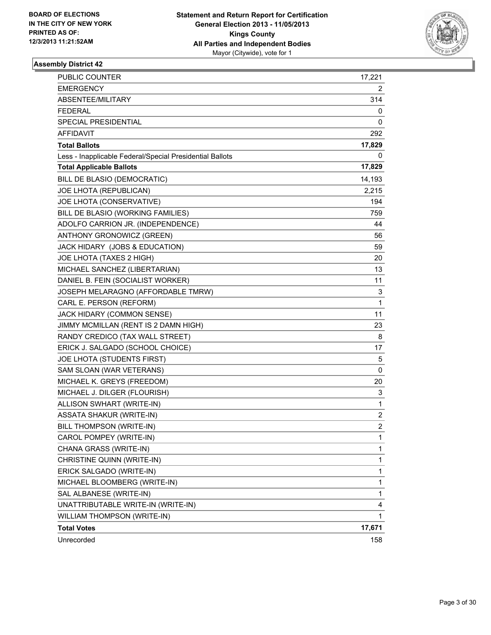

| <b>PUBLIC COUNTER</b>                                    | 17,221      |
|----------------------------------------------------------|-------------|
| <b>EMERGENCY</b>                                         | 2           |
| ABSENTEE/MILITARY                                        | 314         |
| <b>FEDERAL</b>                                           | 0           |
| SPECIAL PRESIDENTIAL                                     | 0           |
| AFFIDAVIT                                                | 292         |
| <b>Total Ballots</b>                                     | 17,829      |
| Less - Inapplicable Federal/Special Presidential Ballots | 0           |
| <b>Total Applicable Ballots</b>                          | 17,829      |
| BILL DE BLASIO (DEMOCRATIC)                              | 14,193      |
| JOE LHOTA (REPUBLICAN)                                   | 2,215       |
| JOE LHOTA (CONSERVATIVE)                                 | 194         |
| BILL DE BLASIO (WORKING FAMILIES)                        | 759         |
| ADOLFO CARRION JR. (INDEPENDENCE)                        | 44          |
| ANTHONY GRONOWICZ (GREEN)                                | 56          |
| JACK HIDARY (JOBS & EDUCATION)                           | 59          |
| JOE LHOTA (TAXES 2 HIGH)                                 | 20          |
| MICHAEL SANCHEZ (LIBERTARIAN)                            | 13          |
| DANIEL B. FEIN (SOCIALIST WORKER)                        | 11          |
| JOSEPH MELARAGNO (AFFORDABLE TMRW)                       | 3           |
| CARL E. PERSON (REFORM)                                  | 1           |
| JACK HIDARY (COMMON SENSE)                               | 11          |
| JIMMY MCMILLAN (RENT IS 2 DAMN HIGH)                     | 23          |
| RANDY CREDICO (TAX WALL STREET)                          | 8           |
| ERICK J. SALGADO (SCHOOL CHOICE)                         | 17          |
| JOE LHOTA (STUDENTS FIRST)                               | 5           |
| SAM SLOAN (WAR VETERANS)                                 | $\mathbf 0$ |
| MICHAEL K. GREYS (FREEDOM)                               | 20          |
| MICHAEL J. DILGER (FLOURISH)                             | 3           |
| ALLISON SWHART (WRITE-IN)                                | 1           |
| <b>ASSATA SHAKUR (WRITE-IN)</b>                          | 2           |
| BILL THOMPSON (WRITE-IN)                                 | 2           |
| CAROL POMPEY (WRITE-IN)                                  | 1           |
| CHANA GRASS (WRITE-IN)                                   | 1           |
| CHRISTINE QUINN (WRITE-IN)                               | 1           |
| ERICK SALGADO (WRITE-IN)                                 | 1           |
| MICHAEL BLOOMBERG (WRITE-IN)                             | 1           |
| SAL ALBANESE (WRITE-IN)                                  | 1           |
| UNATTRIBUTABLE WRITE-IN (WRITE-IN)                       | 4           |
| WILLIAM THOMPSON (WRITE-IN)                              | 1           |
| <b>Total Votes</b>                                       | 17,671      |
| Unrecorded                                               | 158         |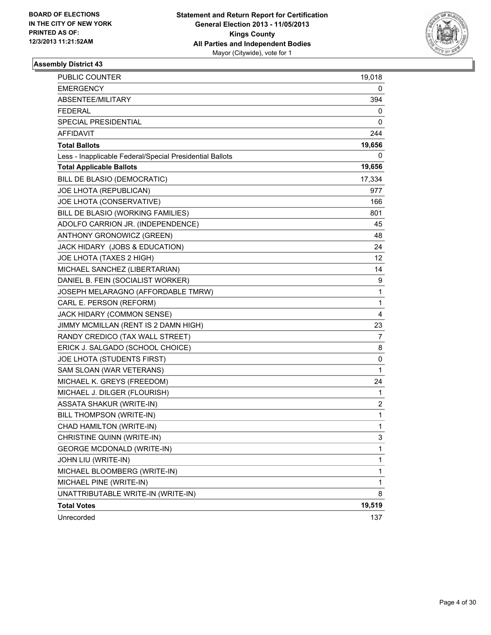

| <b>PUBLIC COUNTER</b>                                    | 19,018                  |
|----------------------------------------------------------|-------------------------|
| <b>EMERGENCY</b>                                         | 0                       |
| ABSENTEE/MILITARY                                        | 394                     |
| <b>FEDERAL</b>                                           | 0                       |
| SPECIAL PRESIDENTIAL                                     | 0                       |
| <b>AFFIDAVIT</b>                                         | 244                     |
| <b>Total Ballots</b>                                     | 19,656                  |
| Less - Inapplicable Federal/Special Presidential Ballots | 0                       |
| <b>Total Applicable Ballots</b>                          | 19,656                  |
| BILL DE BLASIO (DEMOCRATIC)                              | 17,334                  |
| JOE LHOTA (REPUBLICAN)                                   | 977                     |
| JOE LHOTA (CONSERVATIVE)                                 | 166                     |
| BILL DE BLASIO (WORKING FAMILIES)                        | 801                     |
| ADOLFO CARRION JR. (INDEPENDENCE)                        | 45                      |
| ANTHONY GRONOWICZ (GREEN)                                | 48                      |
| JACK HIDARY (JOBS & EDUCATION)                           | 24                      |
| JOE LHOTA (TAXES 2 HIGH)                                 | 12.                     |
| MICHAEL SANCHEZ (LIBERTARIAN)                            | 14                      |
| DANIEL B. FEIN (SOCIALIST WORKER)                        | 9                       |
| JOSEPH MELARAGNO (AFFORDABLE TMRW)                       | $\mathbf{1}$            |
| CARL E. PERSON (REFORM)                                  | $\mathbf{1}$            |
| JACK HIDARY (COMMON SENSE)                               | 4                       |
| JIMMY MCMILLAN (RENT IS 2 DAMN HIGH)                     | 23                      |
| RANDY CREDICO (TAX WALL STREET)                          | 7                       |
| ERICK J. SALGADO (SCHOOL CHOICE)                         | 8                       |
| JOE LHOTA (STUDENTS FIRST)                               | 0                       |
| SAM SLOAN (WAR VETERANS)                                 | $\mathbf{1}$            |
| MICHAEL K. GREYS (FREEDOM)                               | 24                      |
| MICHAEL J. DILGER (FLOURISH)                             | 1                       |
| <b>ASSATA SHAKUR (WRITE-IN)</b>                          | $\overline{\mathbf{c}}$ |
| BILL THOMPSON (WRITE-IN)                                 | 1                       |
| CHAD HAMILTON (WRITE-IN)                                 | $\mathbf{1}$            |
| CHRISTINE QUINN (WRITE-IN)                               | 3                       |
| <b>GEORGE MCDONALD (WRITE-IN)</b>                        | 1                       |
| JOHN LIU (WRITE-IN)                                      | $\mathbf{1}$            |
| MICHAEL BLOOMBERG (WRITE-IN)                             | $\mathbf{1}$            |
| MICHAEL PINE (WRITE-IN)                                  | $\mathbf{1}$            |
| UNATTRIBUTABLE WRITE-IN (WRITE-IN)                       | 8                       |
| <b>Total Votes</b>                                       | 19,519                  |
| Unrecorded                                               | 137                     |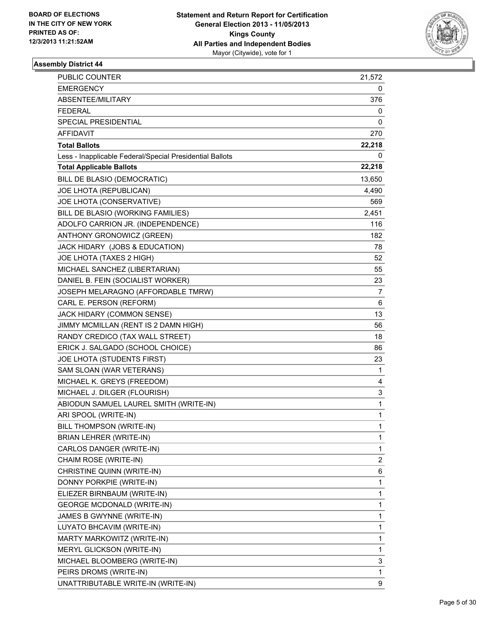

| PUBLIC COUNTER                                           | 21,572                  |
|----------------------------------------------------------|-------------------------|
| EMERGENCY                                                | 0                       |
| ABSENTEE/MILITARY                                        | 376                     |
| FEDERAL                                                  | 0                       |
| <b>SPECIAL PRESIDENTIAL</b>                              | 0                       |
| AFFIDAVIT                                                | 270                     |
| <b>Total Ballots</b>                                     | 22,218                  |
| Less - Inapplicable Federal/Special Presidential Ballots | 0                       |
| <b>Total Applicable Ballots</b>                          | 22,218                  |
| BILL DE BLASIO (DEMOCRATIC)                              | 13,650                  |
| JOE LHOTA (REPUBLICAN)                                   | 4,490                   |
| JOE LHOTA (CONSERVATIVE)                                 | 569                     |
| BILL DE BLASIO (WORKING FAMILIES)                        | 2,451                   |
| ADOLFO CARRION JR. (INDEPENDENCE)                        | 116                     |
| ANTHONY GRONOWICZ (GREEN)                                | 182                     |
| JACK HIDARY (JOBS & EDUCATION)                           | 78                      |
| JOE LHOTA (TAXES 2 HIGH)                                 | 52                      |
| MICHAEL SANCHEZ (LIBERTARIAN)                            | 55                      |
| DANIEL B. FEIN (SOCIALIST WORKER)                        | 23                      |
| JOSEPH MELARAGNO (AFFORDABLE TMRW)                       | 7                       |
| CARL E. PERSON (REFORM)                                  | 6                       |
| JACK HIDARY (COMMON SENSE)                               | 13                      |
| JIMMY MCMILLAN (RENT IS 2 DAMN HIGH)                     | 56                      |
| RANDY CREDICO (TAX WALL STREET)                          | 18                      |
| ERICK J. SALGADO (SCHOOL CHOICE)                         | 86                      |
| JOE LHOTA (STUDENTS FIRST)                               | 23                      |
| SAM SLOAN (WAR VETERANS)                                 | 1                       |
| MICHAEL K. GREYS (FREEDOM)                               | 4                       |
| MICHAEL J. DILGER (FLOURISH)                             | 3                       |
| ABIODUN SAMUEL LAUREL SMITH (WRITE-IN)                   | 1                       |
| ARI SPOOL (WRITE-IN)                                     | 1                       |
| BILL THOMPSON (WRITE-IN)                                 | 1                       |
| BRIAN LEHRER (WRITE-IN)                                  | 1                       |
| CARLOS DANGER (WRITE-IN)                                 | 1                       |
| CHAIM ROSE (WRITE-IN)                                    | $\overline{\mathbf{c}}$ |
| CHRISTINE QUINN (WRITE-IN)                               | 6                       |
| DONNY PORKPIE (WRITE-IN)                                 | 1                       |
| ELIEZER BIRNBAUM (WRITE-IN)                              | 1                       |
| <b>GEORGE MCDONALD (WRITE-IN)</b>                        | 1                       |
| JAMES B GWYNNE (WRITE-IN)                                | 1                       |
| LUYATO BHCAVIM (WRITE-IN)                                | 1                       |
| MARTY MARKOWITZ (WRITE-IN)                               | 1                       |
| MERYL GLICKSON (WRITE-IN)                                | 1                       |
| MICHAEL BLOOMBERG (WRITE-IN)                             | 3                       |
| PEIRS DROMS (WRITE-IN)                                   | 1                       |
| UNATTRIBUTABLE WRITE-IN (WRITE-IN)                       | 9                       |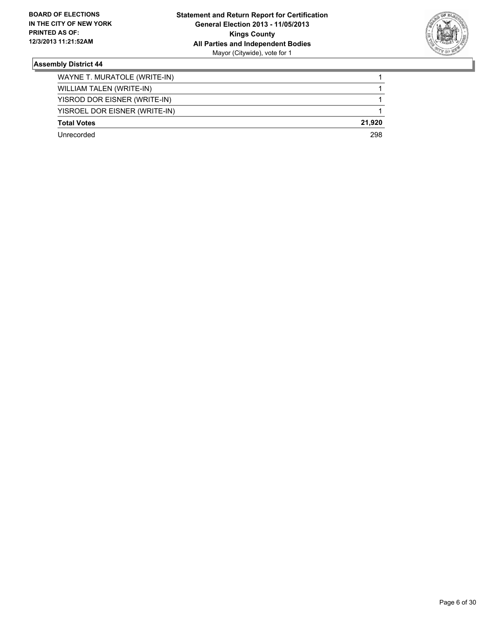

| WAYNE T. MURATOLE (WRITE-IN)  |        |
|-------------------------------|--------|
| WILLIAM TALEN (WRITE-IN)      |        |
| YISROD DOR EISNER (WRITE-IN)  |        |
| YISROEL DOR EISNER (WRITE-IN) |        |
| <b>Total Votes</b>            | 21.920 |
| Unrecorded                    | 298    |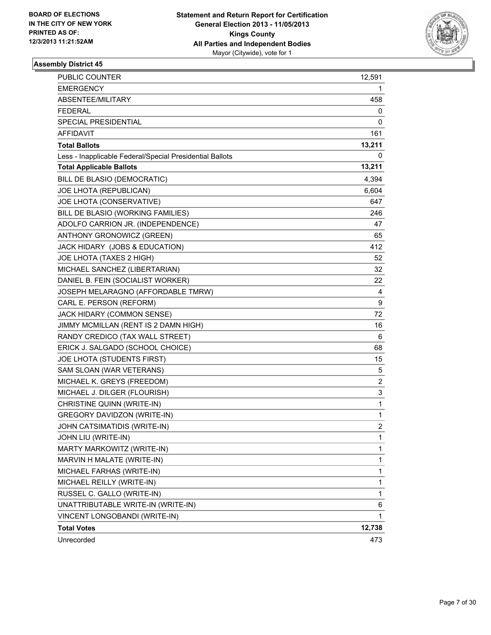

| <b>PUBLIC COUNTER</b>                                    | 12,591         |
|----------------------------------------------------------|----------------|
| <b>EMERGENCY</b>                                         | 1              |
| ABSENTEE/MILITARY                                        | 458            |
| <b>FEDERAL</b>                                           | 0              |
| SPECIAL PRESIDENTIAL                                     | 0              |
| AFFIDAVIT                                                | 161            |
| <b>Total Ballots</b>                                     | 13,211         |
| Less - Inapplicable Federal/Special Presidential Ballots | 0              |
| <b>Total Applicable Ballots</b>                          | 13,211         |
| BILL DE BLASIO (DEMOCRATIC)                              | 4,394          |
| JOE LHOTA (REPUBLICAN)                                   | 6,604          |
| JOE LHOTA (CONSERVATIVE)                                 | 647            |
| BILL DE BLASIO (WORKING FAMILIES)                        | 246            |
| ADOLFO CARRION JR. (INDEPENDENCE)                        | 47             |
| ANTHONY GRONOWICZ (GREEN)                                | 65             |
| JACK HIDARY (JOBS & EDUCATION)                           | 412            |
| JOE LHOTA (TAXES 2 HIGH)                                 | 52             |
| MICHAEL SANCHEZ (LIBERTARIAN)                            | 32             |
| DANIEL B. FEIN (SOCIALIST WORKER)                        | 22             |
| JOSEPH MELARAGNO (AFFORDABLE TMRW)                       | 4              |
| CARL E. PERSON (REFORM)                                  | 9              |
| JACK HIDARY (COMMON SENSE)                               | 72             |
| JIMMY MCMILLAN (RENT IS 2 DAMN HIGH)                     | 16             |
| RANDY CREDICO (TAX WALL STREET)                          | 6              |
| ERICK J. SALGADO (SCHOOL CHOICE)                         | 68             |
| JOE LHOTA (STUDENTS FIRST)                               | 15             |
| SAM SLOAN (WAR VETERANS)                                 | 5              |
| MICHAEL K. GREYS (FREEDOM)                               | 2              |
| MICHAEL J. DILGER (FLOURISH)                             | 3              |
| CHRISTINE QUINN (WRITE-IN)                               | $\mathbf 1$    |
| <b>GREGORY DAVIDZON (WRITE-IN)</b>                       | 1              |
| JOHN CATSIMATIDIS (WRITE-IN)                             | $\overline{c}$ |
| JOHN LIU (WRITE-IN)                                      | 1              |
| MARTY MARKOWITZ (WRITE-IN)                               | 1              |
| MARVIN H MALATE (WRITE-IN)                               | 1              |
| MICHAEL FARHAS (WRITE-IN)                                | 1              |
| MICHAEL REILLY (WRITE-IN)                                | 1              |
| RUSSEL C. GALLO (WRITE-IN)                               | 1              |
| UNATTRIBUTABLE WRITE-IN (WRITE-IN)                       | 6              |
| VINCENT LONGOBANDI (WRITE-IN)                            | 1              |
| <b>Total Votes</b>                                       | 12,738         |
| Unrecorded                                               | 473            |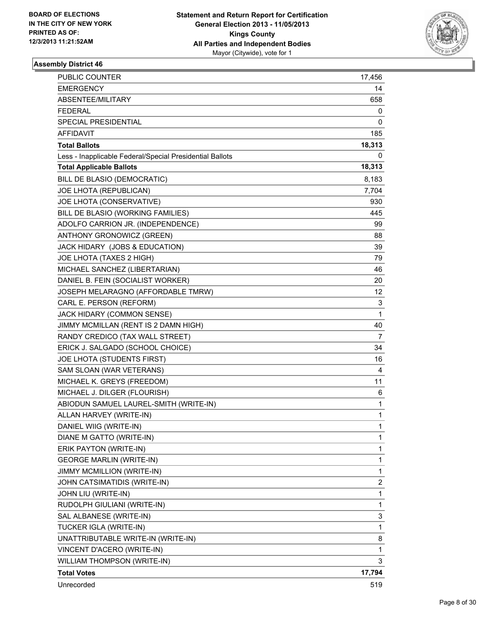

| <b>PUBLIC COUNTER</b>                                    | 17,456         |
|----------------------------------------------------------|----------------|
| <b>EMERGENCY</b>                                         | 14             |
| ABSENTEE/MILITARY                                        | 658            |
| <b>FEDERAL</b>                                           | 0              |
| SPECIAL PRESIDENTIAL                                     | 0              |
| AFFIDAVIT                                                | 185            |
| <b>Total Ballots</b>                                     | 18,313         |
| Less - Inapplicable Federal/Special Presidential Ballots | 0              |
| <b>Total Applicable Ballots</b>                          | 18,313         |
| BILL DE BLASIO (DEMOCRATIC)                              | 8,183          |
| JOE LHOTA (REPUBLICAN)                                   | 7,704          |
| JOE LHOTA (CONSERVATIVE)                                 | 930            |
| BILL DE BLASIO (WORKING FAMILIES)                        | 445            |
| ADOLFO CARRION JR. (INDEPENDENCE)                        | 99             |
| ANTHONY GRONOWICZ (GREEN)                                | 88             |
| JACK HIDARY (JOBS & EDUCATION)                           | 39             |
| JOE LHOTA (TAXES 2 HIGH)                                 | 79             |
| MICHAEL SANCHEZ (LIBERTARIAN)                            | 46             |
| DANIEL B. FEIN (SOCIALIST WORKER)                        | 20             |
| JOSEPH MELARAGNO (AFFORDABLE TMRW)                       | 12.            |
| CARL E. PERSON (REFORM)                                  | 3              |
| JACK HIDARY (COMMON SENSE)                               | 1              |
| JIMMY MCMILLAN (RENT IS 2 DAMN HIGH)                     | 40             |
| RANDY CREDICO (TAX WALL STREET)                          | 7              |
| ERICK J. SALGADO (SCHOOL CHOICE)                         | 34             |
| JOE LHOTA (STUDENTS FIRST)                               | 16             |
| SAM SLOAN (WAR VETERANS)                                 | 4              |
| MICHAEL K. GREYS (FREEDOM)                               | 11             |
| MICHAEL J. DILGER (FLOURISH)                             | 6              |
| ABIODUN SAMUEL LAUREL-SMITH (WRITE-IN)                   | 1              |
| ALLAN HARVEY (WRITE-IN)                                  | 1              |
| DANIEL WIIG (WRITE-IN)                                   | 1              |
| DIANE M GATTO (WRITE-IN)                                 | 1              |
| ERIK PAYTON (WRITE-IN)                                   | 1              |
| <b>GEORGE MARLIN (WRITE-IN)</b>                          | 1              |
| JIMMY MCMILLION (WRITE-IN)                               | 1              |
| JOHN CATSIMATIDIS (WRITE-IN)                             | $\overline{c}$ |
| JOHN LIU (WRITE-IN)                                      | 1              |
| RUDOLPH GIULIANI (WRITE-IN)                              | 1              |
| SAL ALBANESE (WRITE-IN)                                  | 3              |
| TUCKER IGLA (WRITE-IN)                                   | 1              |
| UNATTRIBUTABLE WRITE-IN (WRITE-IN)                       | 8              |
| VINCENT D'ACERO (WRITE-IN)                               | 1              |
| WILLIAM THOMPSON (WRITE-IN)                              | 3              |
| <b>Total Votes</b>                                       | 17,794         |
| Unrecorded                                               | 519            |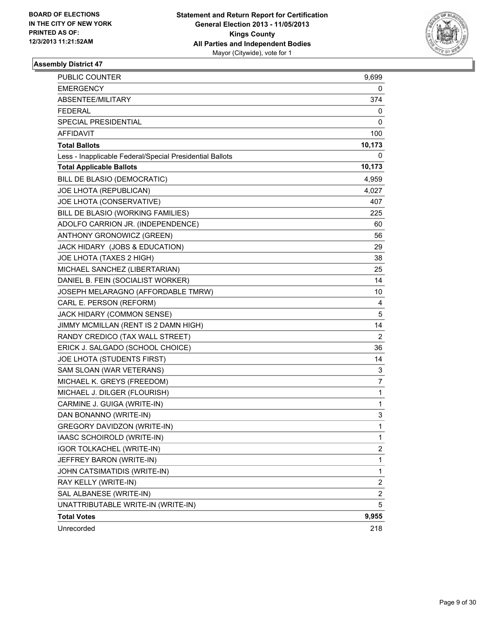

| <b>PUBLIC COUNTER</b>                                    | 9,699                   |
|----------------------------------------------------------|-------------------------|
| <b>EMERGENCY</b>                                         | 0                       |
| ABSENTEE/MILITARY                                        | 374                     |
| <b>FEDERAL</b>                                           | 0                       |
| SPECIAL PRESIDENTIAL                                     | 0                       |
| <b>AFFIDAVIT</b>                                         | 100                     |
| <b>Total Ballots</b>                                     | 10,173                  |
| Less - Inapplicable Federal/Special Presidential Ballots | 0                       |
| <b>Total Applicable Ballots</b>                          | 10,173                  |
| BILL DE BLASIO (DEMOCRATIC)                              | 4,959                   |
| JOE LHOTA (REPUBLICAN)                                   | 4,027                   |
| JOE LHOTA (CONSERVATIVE)                                 | 407                     |
| BILL DE BLASIO (WORKING FAMILIES)                        | 225                     |
| ADOLFO CARRION JR. (INDEPENDENCE)                        | 60                      |
| ANTHONY GRONOWICZ (GREEN)                                | 56                      |
| JACK HIDARY (JOBS & EDUCATION)                           | 29                      |
| JOE LHOTA (TAXES 2 HIGH)                                 | 38                      |
| MICHAEL SANCHEZ (LIBERTARIAN)                            | 25                      |
| DANIEL B. FEIN (SOCIALIST WORKER)                        | 14                      |
| JOSEPH MELARAGNO (AFFORDABLE TMRW)                       | 10                      |
| CARL E. PERSON (REFORM)                                  | 4                       |
| JACK HIDARY (COMMON SENSE)                               | 5                       |
| JIMMY MCMILLAN (RENT IS 2 DAMN HIGH)                     | 14                      |
| RANDY CREDICO (TAX WALL STREET)                          | $\mathbf{2}^{\prime}$   |
| ERICK J. SALGADO (SCHOOL CHOICE)                         | 36                      |
| JOE LHOTA (STUDENTS FIRST)                               | 14                      |
| SAM SLOAN (WAR VETERANS)                                 | 3                       |
| MICHAEL K. GREYS (FREEDOM)                               | 7                       |
| MICHAEL J. DILGER (FLOURISH)                             | 1                       |
| CARMINE J. GUIGA (WRITE-IN)                              | 1                       |
| DAN BONANNO (WRITE-IN)                                   | 3                       |
| <b>GREGORY DAVIDZON (WRITE-IN)</b>                       | 1                       |
| IAASC SCHOIROLD (WRITE-IN)                               | 1                       |
| IGOR TOLKACHEL (WRITE-IN)                                | 2                       |
| JEFFREY BARON (WRITE-IN)                                 | 1                       |
| JOHN CATSIMATIDIS (WRITE-IN)                             | 1                       |
| RAY KELLY (WRITE-IN)                                     | $\overline{\mathbf{c}}$ |
| SAL ALBANESE (WRITE-IN)                                  | $\overline{\mathbf{c}}$ |
| UNATTRIBUTABLE WRITE-IN (WRITE-IN)                       | 5                       |
| <b>Total Votes</b>                                       | 9,955                   |
| Unrecorded                                               | 218                     |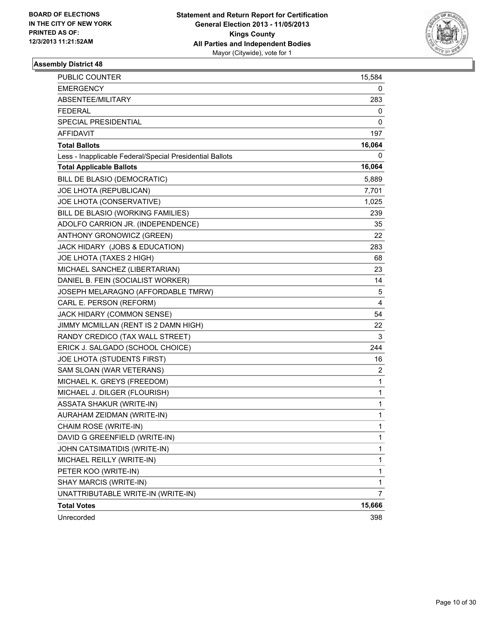

| PUBLIC COUNTER                                           | 15,584         |
|----------------------------------------------------------|----------------|
| <b>EMERGENCY</b>                                         | 0              |
| ABSENTEE/MILITARY                                        | 283            |
| FEDERAL                                                  | 0              |
| SPECIAL PRESIDENTIAL                                     | 0              |
| AFFIDAVIT                                                | 197            |
| <b>Total Ballots</b>                                     | 16,064         |
| Less - Inapplicable Federal/Special Presidential Ballots | 0              |
| <b>Total Applicable Ballots</b>                          | 16,064         |
| BILL DE BLASIO (DEMOCRATIC)                              | 5,889          |
| JOE LHOTA (REPUBLICAN)                                   | 7,701          |
| JOE LHOTA (CONSERVATIVE)                                 | 1,025          |
| BILL DE BLASIO (WORKING FAMILIES)                        | 239            |
| ADOLFO CARRION JR. (INDEPENDENCE)                        | 35             |
| ANTHONY GRONOWICZ (GREEN)                                | 22             |
| JACK HIDARY (JOBS & EDUCATION)                           | 283            |
| JOE LHOTA (TAXES 2 HIGH)                                 | 68             |
| MICHAEL SANCHEZ (LIBERTARIAN)                            | 23             |
| DANIEL B. FEIN (SOCIALIST WORKER)                        | 14             |
| JOSEPH MELARAGNO (AFFORDABLE TMRW)                       | 5              |
| CARL E. PERSON (REFORM)                                  | $\overline{4}$ |
| JACK HIDARY (COMMON SENSE)                               | 54             |
| JIMMY MCMILLAN (RENT IS 2 DAMN HIGH)                     | 22             |
| RANDY CREDICO (TAX WALL STREET)                          | 3              |
| ERICK J. SALGADO (SCHOOL CHOICE)                         | 244            |
| JOE LHOTA (STUDENTS FIRST)                               | 16             |
| SAM SLOAN (WAR VETERANS)                                 | 2              |
| MICHAEL K. GREYS (FREEDOM)                               | $\mathbf{1}$   |
| MICHAEL J. DILGER (FLOURISH)                             | 1              |
| <b>ASSATA SHAKUR (WRITE-IN)</b>                          | $\mathbf{1}$   |
| AURAHAM ZEIDMAN (WRITE-IN)                               | $\mathbf{1}$   |
| CHAIM ROSE (WRITE-IN)                                    | $\mathbf{1}$   |
| DAVID G GREENFIELD (WRITE-IN)                            | $\mathbf 1$    |
| JOHN CATSIMATIDIS (WRITE-IN)                             | $\mathbf 1$    |
| MICHAEL REILLY (WRITE-IN)                                | 1              |
| PETER KOO (WRITE-IN)                                     | $\mathbf{1}$   |
| SHAY MARCIS (WRITE-IN)                                   | $\mathbf 1$    |
| UNATTRIBUTABLE WRITE-IN (WRITE-IN)                       | 7              |
| <b>Total Votes</b>                                       | 15,666         |
| Unrecorded                                               | 398            |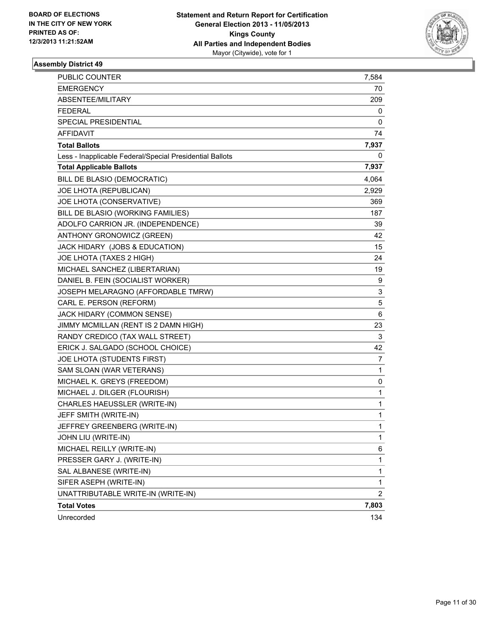

| <b>PUBLIC COUNTER</b>                                    | 7,584          |
|----------------------------------------------------------|----------------|
| <b>EMERGENCY</b>                                         | 70             |
| ABSENTEE/MILITARY                                        | 209            |
| FEDERAL                                                  | 0              |
| <b>SPECIAL PRESIDENTIAL</b>                              | 0              |
| <b>AFFIDAVIT</b>                                         | 74             |
| <b>Total Ballots</b>                                     | 7,937          |
| Less - Inapplicable Federal/Special Presidential Ballots | 0              |
| <b>Total Applicable Ballots</b>                          | 7,937          |
| BILL DE BLASIO (DEMOCRATIC)                              | 4,064          |
| JOE LHOTA (REPUBLICAN)                                   | 2,929          |
| JOE LHOTA (CONSERVATIVE)                                 | 369            |
| BILL DE BLASIO (WORKING FAMILIES)                        | 187            |
| ADOLFO CARRION JR. (INDEPENDENCE)                        | 39             |
| ANTHONY GRONOWICZ (GREEN)                                | 42             |
| JACK HIDARY (JOBS & EDUCATION)                           | 15             |
| JOE LHOTA (TAXES 2 HIGH)                                 | 24             |
| MICHAEL SANCHEZ (LIBERTARIAN)                            | 19             |
| DANIEL B. FEIN (SOCIALIST WORKER)                        | 9              |
| JOSEPH MELARAGNO (AFFORDABLE TMRW)                       | 3              |
| CARL E. PERSON (REFORM)                                  | 5              |
| JACK HIDARY (COMMON SENSE)                               | 6              |
| JIMMY MCMILLAN (RENT IS 2 DAMN HIGH)                     | 23             |
| RANDY CREDICO (TAX WALL STREET)                          | 3              |
| ERICK J. SALGADO (SCHOOL CHOICE)                         | 42             |
| JOE LHOTA (STUDENTS FIRST)                               | 7              |
| SAM SLOAN (WAR VETERANS)                                 | 1              |
| MICHAEL K. GREYS (FREEDOM)                               | 0              |
| MICHAEL J. DILGER (FLOURISH)                             | 1              |
| CHARLES HAEUSSLER (WRITE-IN)                             | 1              |
| JEFF SMITH (WRITE-IN)                                    | 1              |
| JEFFREY GREENBERG (WRITE-IN)                             | 1              |
| JOHN LIU (WRITE-IN)                                      | 1              |
| MICHAEL REILLY (WRITE-IN)                                | 6              |
| PRESSER GARY J. (WRITE-IN)                               | 1              |
| SAL ALBANESE (WRITE-IN)                                  | 1              |
| SIFER ASEPH (WRITE-IN)                                   | 1              |
| UNATTRIBUTABLE WRITE-IN (WRITE-IN)                       | $\overline{2}$ |
| <b>Total Votes</b>                                       | 7,803          |
| Unrecorded                                               | 134            |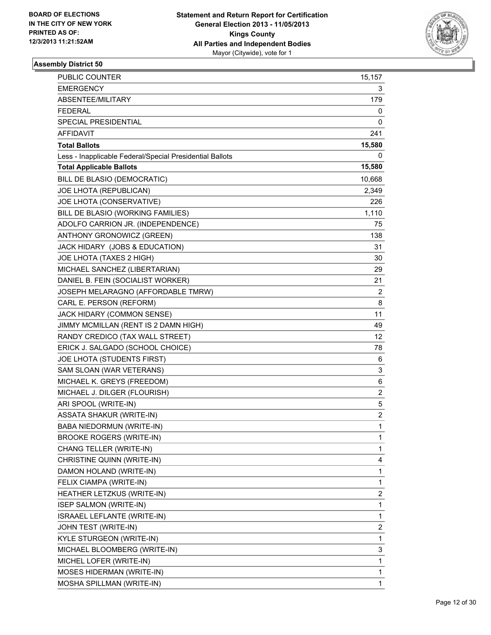

| PUBLIC COUNTER                                           | 15,157                  |
|----------------------------------------------------------|-------------------------|
| <b>EMERGENCY</b>                                         | 3                       |
| ABSENTEE/MILITARY                                        | 179                     |
| <b>FEDERAL</b>                                           | 0                       |
| SPECIAL PRESIDENTIAL                                     | 0                       |
| AFFIDAVIT                                                | 241                     |
| <b>Total Ballots</b>                                     | 15,580                  |
| Less - Inapplicable Federal/Special Presidential Ballots | 0                       |
| <b>Total Applicable Ballots</b>                          | 15,580                  |
| BILL DE BLASIO (DEMOCRATIC)                              | 10,668                  |
| JOE LHOTA (REPUBLICAN)                                   | 2,349                   |
| JOE LHOTA (CONSERVATIVE)                                 | 226                     |
| BILL DE BLASIO (WORKING FAMILIES)                        | 1,110                   |
| ADOLFO CARRION JR. (INDEPENDENCE)                        | 75                      |
| ANTHONY GRONOWICZ (GREEN)                                | 138                     |
| JACK HIDARY (JOBS & EDUCATION)                           | 31                      |
| JOE LHOTA (TAXES 2 HIGH)                                 | 30                      |
| MICHAEL SANCHEZ (LIBERTARIAN)                            | 29                      |
| DANIEL B. FEIN (SOCIALIST WORKER)                        | 21                      |
| JOSEPH MELARAGNO (AFFORDABLE TMRW)                       | 2                       |
| CARL E. PERSON (REFORM)                                  | 8                       |
| JACK HIDARY (COMMON SENSE)                               | 11                      |
| JIMMY MCMILLAN (RENT IS 2 DAMN HIGH)                     | 49                      |
| RANDY CREDICO (TAX WALL STREET)                          | 12                      |
| ERICK J. SALGADO (SCHOOL CHOICE)                         | 78                      |
| JOE LHOTA (STUDENTS FIRST)                               | 6                       |
| SAM SLOAN (WAR VETERANS)                                 | 3                       |
| MICHAEL K. GREYS (FREEDOM)                               | 6                       |
| MICHAEL J. DILGER (FLOURISH)                             | $\overline{c}$          |
| ARI SPOOL (WRITE-IN)                                     | 5                       |
| <b>ASSATA SHAKUR (WRITE-IN)</b>                          | $\overline{\mathbf{c}}$ |
| BABA NIEDORMUN (WRITE-IN)                                | 1                       |
| <b>BROOKE ROGERS (WRITE-IN)</b>                          | 1                       |
| CHANG TELLER (WRITE-IN)                                  | 1                       |
| CHRISTINE QUINN (WRITE-IN)                               | 4                       |
| DAMON HOLAND (WRITE-IN)                                  | 1                       |
| FELIX CIAMPA (WRITE-IN)                                  | 1                       |
| HEATHER LETZKUS (WRITE-IN)                               | 2                       |
| <b>ISEP SALMON (WRITE-IN)</b>                            | 1                       |
| ISRAAEL LEFLANTE (WRITE-IN)                              | 1                       |
| JOHN TEST (WRITE-IN)                                     | 2                       |
| KYLE STURGEON (WRITE-IN)                                 | 1                       |
| MICHAEL BLOOMBERG (WRITE-IN)                             | 3                       |
| MICHEL LOFER (WRITE-IN)                                  | 1                       |
| MOSES HIDERMAN (WRITE-IN)                                | 1                       |
| MOSHA SPILLMAN (WRITE-IN)                                | 1                       |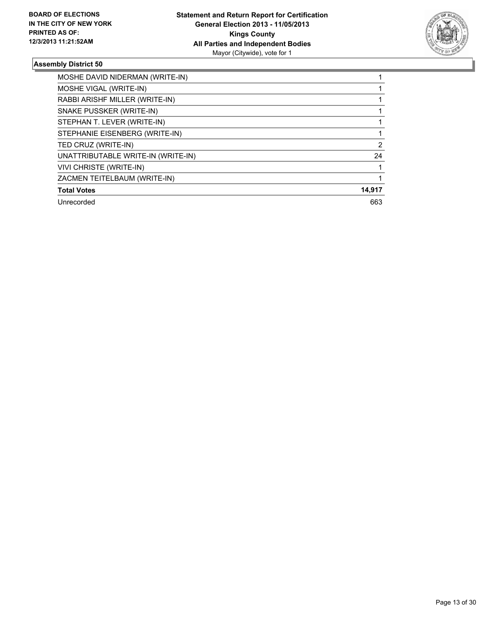

| MOSHE DAVID NIDERMAN (WRITE-IN)    |                |
|------------------------------------|----------------|
| MOSHE VIGAL (WRITE-IN)             |                |
| RABBI ARISHF MILLER (WRITE-IN)     |                |
| SNAKE PUSSKER (WRITE-IN)           |                |
| STEPHAN T. LEVER (WRITE-IN)        |                |
| STEPHANIE EISENBERG (WRITE-IN)     |                |
| TED CRUZ (WRITE-IN)                | $\overline{2}$ |
| UNATTRIBUTABLE WRITE-IN (WRITE-IN) | 24             |
| <b>VIVI CHRISTE (WRITE-IN)</b>     |                |
| ZACMEN TEITELBAUM (WRITE-IN)       |                |
| <b>Total Votes</b>                 | 14,917         |
| Unrecorded                         | 663            |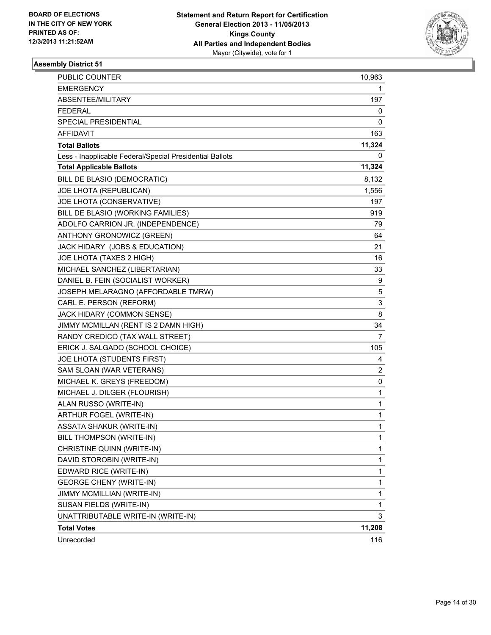

| <b>PUBLIC COUNTER</b>                                    | 10,963 |
|----------------------------------------------------------|--------|
| <b>EMERGENCY</b>                                         | 1      |
| ABSENTEE/MILITARY                                        | 197    |
| <b>FEDERAL</b>                                           | 0      |
| <b>SPECIAL PRESIDENTIAL</b>                              | 0      |
| <b>AFFIDAVIT</b>                                         | 163    |
| <b>Total Ballots</b>                                     | 11,324 |
| Less - Inapplicable Federal/Special Presidential Ballots | 0      |
| <b>Total Applicable Ballots</b>                          | 11,324 |
| BILL DE BLASIO (DEMOCRATIC)                              | 8,132  |
| JOE LHOTA (REPUBLICAN)                                   | 1,556  |
| JOE LHOTA (CONSERVATIVE)                                 | 197    |
| BILL DE BLASIO (WORKING FAMILIES)                        | 919    |
| ADOLFO CARRION JR. (INDEPENDENCE)                        | 79     |
| ANTHONY GRONOWICZ (GREEN)                                | 64     |
| JACK HIDARY (JOBS & EDUCATION)                           | 21     |
| JOE LHOTA (TAXES 2 HIGH)                                 | 16     |
| MICHAEL SANCHEZ (LIBERTARIAN)                            | 33     |
| DANIEL B. FEIN (SOCIALIST WORKER)                        | 9      |
| JOSEPH MELARAGNO (AFFORDABLE TMRW)                       | 5      |
| CARL E. PERSON (REFORM)                                  | 3      |
| JACK HIDARY (COMMON SENSE)                               | 8      |
| JIMMY MCMILLAN (RENT IS 2 DAMN HIGH)                     | 34     |
| RANDY CREDICO (TAX WALL STREET)                          | 7      |
| ERICK J. SALGADO (SCHOOL CHOICE)                         | 105    |
| JOE LHOTA (STUDENTS FIRST)                               | 4      |
| SAM SLOAN (WAR VETERANS)                                 | 2      |
| MICHAEL K. GREYS (FREEDOM)                               | 0      |
| MICHAEL J. DILGER (FLOURISH)                             | 1      |
| ALAN RUSSO (WRITE-IN)                                    | 1      |
| ARTHUR FOGEL (WRITE-IN)                                  | 1      |
| <b>ASSATA SHAKUR (WRITE-IN)</b>                          | 1      |
| BILL THOMPSON (WRITE-IN)                                 | 1      |
| CHRISTINE QUINN (WRITE-IN)                               | 1      |
| DAVID STOROBIN (WRITE-IN)                                | 1      |
| EDWARD RICE (WRITE-IN)                                   | 1      |
| <b>GEORGE CHENY (WRITE-IN)</b>                           | 1      |
| JIMMY MCMILLIAN (WRITE-IN)                               | 1      |
| SUSAN FIELDS (WRITE-IN)                                  | 1      |
| UNATTRIBUTABLE WRITE-IN (WRITE-IN)                       | 3      |
| <b>Total Votes</b>                                       | 11,208 |
| Unrecorded                                               | 116    |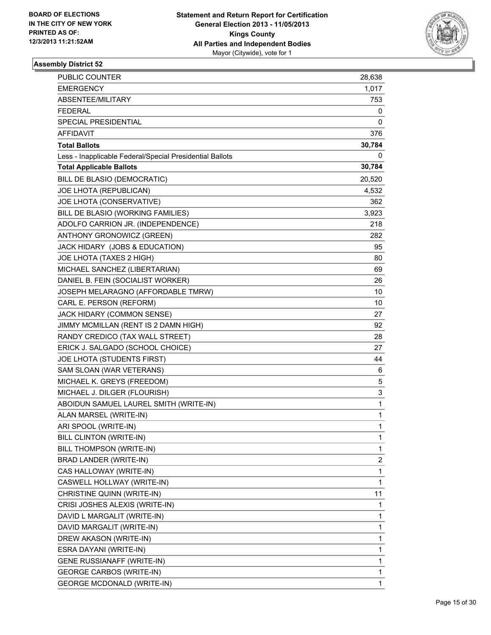

| PUBLIC COUNTER                                           | 28,638 |
|----------------------------------------------------------|--------|
| EMERGENCY                                                | 1,017  |
| ABSENTEE/MILITARY                                        | 753    |
| FEDERAL                                                  | 0      |
| SPECIAL PRESIDENTIAL                                     | 0      |
| AFFIDAVIT                                                | 376    |
| <b>Total Ballots</b>                                     | 30,784 |
| Less - Inapplicable Federal/Special Presidential Ballots | 0      |
| <b>Total Applicable Ballots</b>                          | 30,784 |
| BILL DE BLASIO (DEMOCRATIC)                              | 20,520 |
| JOE LHOTA (REPUBLICAN)                                   | 4,532  |
| JOE LHOTA (CONSERVATIVE)                                 | 362    |
| BILL DE BLASIO (WORKING FAMILIES)                        | 3,923  |
| ADOLFO CARRION JR. (INDEPENDENCE)                        | 218    |
| ANTHONY GRONOWICZ (GREEN)                                | 282    |
| JACK HIDARY (JOBS & EDUCATION)                           | 95     |
| JOE LHOTA (TAXES 2 HIGH)                                 | 80     |
| MICHAEL SANCHEZ (LIBERTARIAN)                            | 69     |
| DANIEL B. FEIN (SOCIALIST WORKER)                        | 26     |
| JOSEPH MELARAGNO (AFFORDABLE TMRW)                       | 10     |
| CARL E. PERSON (REFORM)                                  | 10     |
| JACK HIDARY (COMMON SENSE)                               | 27     |
| JIMMY MCMILLAN (RENT IS 2 DAMN HIGH)                     | 92     |
| RANDY CREDICO (TAX WALL STREET)                          | 28     |
| ERICK J. SALGADO (SCHOOL CHOICE)                         | 27     |
| JOE LHOTA (STUDENTS FIRST)                               | 44     |
| SAM SLOAN (WAR VETERANS)                                 | 6      |
| MICHAEL K. GREYS (FREEDOM)                               | 5      |
| MICHAEL J. DILGER (FLOURISH)                             | 3      |
| ABOIDUN SAMUEL LAUREL SMITH (WRITE-IN)                   | 1      |
| ALAN MARSEL (WRITE-IN)                                   | 1      |
| ARI SPOOL (WRITE-IN)                                     | 1      |
| BILL CLINTON (WRITE-IN)                                  | 1      |
| BILL THOMPSON (WRITE-IN)                                 | 1      |
| BRAD LANDER (WRITE-IN)                                   | 2      |
| CAS HALLOWAY (WRITE-IN)                                  | 1      |
| CASWELL HOLLWAY (WRITE-IN)                               | 1      |
| CHRISTINE QUINN (WRITE-IN)                               | 11     |
| CRISI JOSHES ALEXIS (WRITE-IN)                           | 1      |
| DAVID L MARGALIT (WRITE-IN)                              | 1      |
| DAVID MARGALIT (WRITE-IN)                                | 1      |
| DREW AKASON (WRITE-IN)                                   | 1      |
| ESRA DAYANI (WRITE-IN)                                   | 1      |
| GENE RUSSIANAFF (WRITE-IN)                               | 1      |
| <b>GEORGE CARBOS (WRITE-IN)</b>                          | 1      |
| <b>GEORGE MCDONALD (WRITE-IN)</b>                        | 1      |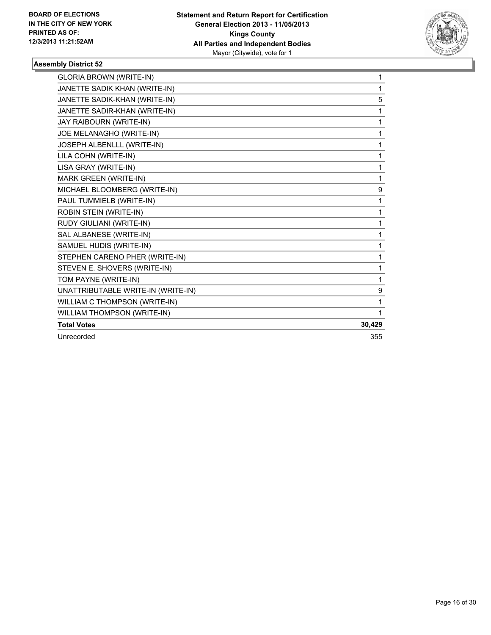

| <b>GLORIA BROWN (WRITE-IN)</b>     | 1      |
|------------------------------------|--------|
| JANETTE SADIK KHAN (WRITE-IN)      | 1      |
| JANETTE SADIK-KHAN (WRITE-IN)      | 5      |
| JANETTE SADIR-KHAN (WRITE-IN)      | 1      |
| JAY RAIBOURN (WRITE-IN)            | 1      |
| JOE MELANAGHO (WRITE-IN)           | 1      |
| JOSEPH ALBENLLL (WRITE-IN)         | 1      |
| LILA COHN (WRITE-IN)               | 1      |
| LISA GRAY (WRITE-IN)               | 1      |
| <b>MARK GREEN (WRITE-IN)</b>       | 1      |
| MICHAEL BLOOMBERG (WRITE-IN)       | 9      |
| PAUL TUMMIELB (WRITE-IN)           | 1      |
| ROBIN STEIN (WRITE-IN)             | 1      |
| RUDY GIULIANI (WRITE-IN)           | 1      |
| SAL ALBANESE (WRITE-IN)            | 1      |
| SAMUEL HUDIS (WRITE-IN)            | 1      |
| STEPHEN CARENO PHER (WRITE-IN)     | 1      |
| STEVEN E. SHOVERS (WRITE-IN)       | 1      |
| TOM PAYNE (WRITE-IN)               | 1      |
| UNATTRIBUTABLE WRITE-IN (WRITE-IN) | 9      |
| WILLIAM C THOMPSON (WRITE-IN)      | 1      |
| WILLIAM THOMPSON (WRITE-IN)        | 1      |
| <b>Total Votes</b>                 | 30,429 |
| Unrecorded                         | 355    |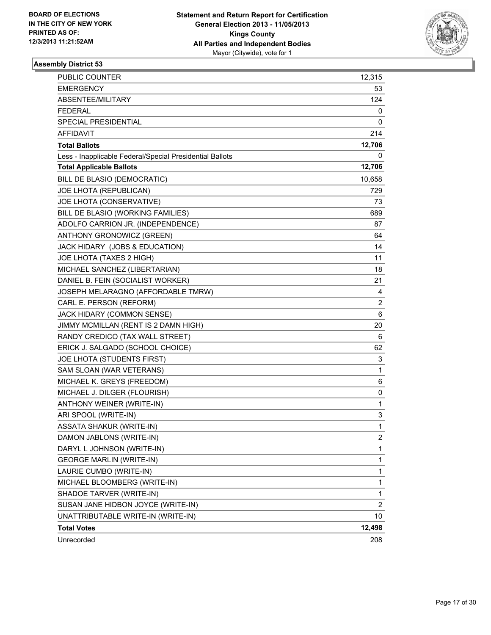

| PUBLIC COUNTER                                           | 12,315       |
|----------------------------------------------------------|--------------|
| <b>EMERGENCY</b>                                         | 53           |
| ABSENTEE/MILITARY                                        | 124          |
| <b>FEDERAL</b>                                           | 0            |
| SPECIAL PRESIDENTIAL                                     | 0            |
| <b>AFFIDAVIT</b>                                         | 214          |
| <b>Total Ballots</b>                                     | 12,706       |
| Less - Inapplicable Federal/Special Presidential Ballots | 0            |
| <b>Total Applicable Ballots</b>                          | 12,706       |
| BILL DE BLASIO (DEMOCRATIC)                              | 10,658       |
| JOE LHOTA (REPUBLICAN)                                   | 729          |
| JOE LHOTA (CONSERVATIVE)                                 | 73           |
| BILL DE BLASIO (WORKING FAMILIES)                        | 689          |
| ADOLFO CARRION JR. (INDEPENDENCE)                        | 87           |
| ANTHONY GRONOWICZ (GREEN)                                | 64           |
| JACK HIDARY (JOBS & EDUCATION)                           | 14           |
| JOE LHOTA (TAXES 2 HIGH)                                 | 11           |
| MICHAEL SANCHEZ (LIBERTARIAN)                            | 18           |
| DANIEL B. FEIN (SOCIALIST WORKER)                        | 21           |
| JOSEPH MELARAGNO (AFFORDABLE TMRW)                       | 4            |
| CARL E. PERSON (REFORM)                                  | 2            |
| JACK HIDARY (COMMON SENSE)                               | 6            |
| JIMMY MCMILLAN (RENT IS 2 DAMN HIGH)                     | 20           |
| RANDY CREDICO (TAX WALL STREET)                          | 6            |
| ERICK J. SALGADO (SCHOOL CHOICE)                         | 62           |
| JOE LHOTA (STUDENTS FIRST)                               | 3            |
| SAM SLOAN (WAR VETERANS)                                 | $\mathbf{1}$ |
| MICHAEL K. GREYS (FREEDOM)                               | 6            |
| MICHAEL J. DILGER (FLOURISH)                             | 0            |
| ANTHONY WEINER (WRITE-IN)                                | 1            |
| ARI SPOOL (WRITE-IN)                                     | 3            |
| ASSATA SHAKUR (WRITE-IN)                                 | $\mathbf{1}$ |
| DAMON JABLONS (WRITE-IN)                                 | 2            |
| DARYL L JOHNSON (WRITE-IN)                               | 1            |
| <b>GEORGE MARLIN (WRITE-IN)</b>                          | $\mathbf{1}$ |
| LAURIE CUMBO (WRITE-IN)                                  | $\mathbf{1}$ |
| MICHAEL BLOOMBERG (WRITE-IN)                             | 1            |
| SHADOE TARVER (WRITE-IN)                                 | $\mathbf{1}$ |
| SUSAN JANE HIDBON JOYCE (WRITE-IN)                       | 2            |
| UNATTRIBUTABLE WRITE-IN (WRITE-IN)                       | 10           |
| <b>Total Votes</b>                                       | 12,498       |
| Unrecorded                                               | 208          |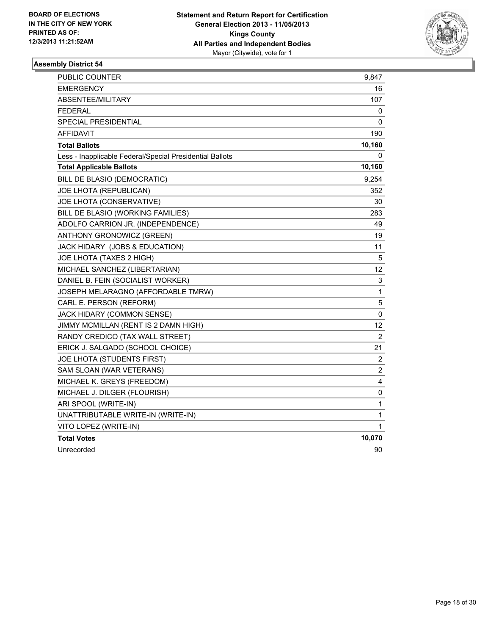

| <b>PUBLIC COUNTER</b>                                    | 9,847                   |
|----------------------------------------------------------|-------------------------|
| <b>EMERGENCY</b>                                         | 16                      |
| ABSENTEE/MILITARY                                        | 107                     |
| <b>FEDERAL</b>                                           | 0                       |
| SPECIAL PRESIDENTIAL                                     | 0                       |
| <b>AFFIDAVIT</b>                                         | 190                     |
| <b>Total Ballots</b>                                     | 10,160                  |
| Less - Inapplicable Federal/Special Presidential Ballots | 0                       |
| <b>Total Applicable Ballots</b>                          | 10,160                  |
| BILL DE BLASIO (DEMOCRATIC)                              | 9,254                   |
| JOE LHOTA (REPUBLICAN)                                   | 352                     |
| JOE LHOTA (CONSERVATIVE)                                 | 30                      |
| BILL DE BLASIO (WORKING FAMILIES)                        | 283                     |
| ADOLFO CARRION JR. (INDEPENDENCE)                        | 49                      |
| ANTHONY GRONOWICZ (GREEN)                                | 19                      |
| JACK HIDARY (JOBS & EDUCATION)                           | 11                      |
| JOE LHOTA (TAXES 2 HIGH)                                 | 5                       |
| MICHAEL SANCHEZ (LIBERTARIAN)                            | 12                      |
| DANIEL B. FEIN (SOCIALIST WORKER)                        | 3                       |
| JOSEPH MELARAGNO (AFFORDABLE TMRW)                       | $\mathbf{1}$            |
| CARL E. PERSON (REFORM)                                  | 5                       |
| JACK HIDARY (COMMON SENSE)                               | 0                       |
| JIMMY MCMILLAN (RENT IS 2 DAMN HIGH)                     | 12                      |
| RANDY CREDICO (TAX WALL STREET)                          | $\overline{c}$          |
| ERICK J. SALGADO (SCHOOL CHOICE)                         | 21                      |
| JOE LHOTA (STUDENTS FIRST)                               | $\overline{\mathbf{c}}$ |
| SAM SLOAN (WAR VETERANS)                                 | $\overline{c}$          |
| MICHAEL K. GREYS (FREEDOM)                               | 4                       |
| MICHAEL J. DILGER (FLOURISH)                             | 0                       |
| ARI SPOOL (WRITE-IN)                                     | 1                       |
| UNATTRIBUTABLE WRITE-IN (WRITE-IN)                       | 1                       |
| VITO LOPEZ (WRITE-IN)                                    | 1                       |
| <b>Total Votes</b>                                       | 10,070                  |
| Unrecorded                                               | 90                      |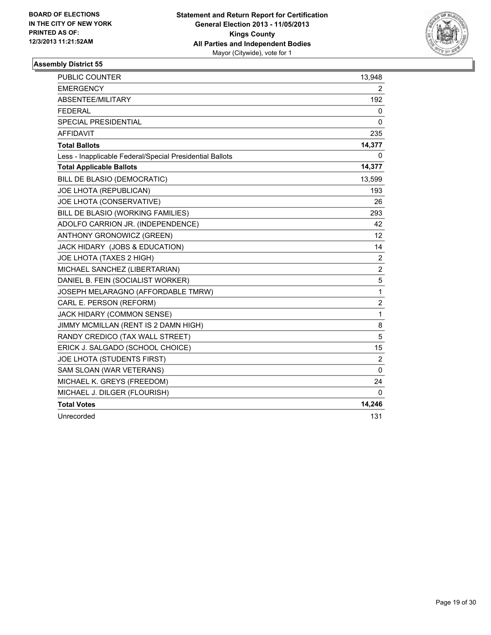

| <b>PUBLIC COUNTER</b>                                    | 13,948         |
|----------------------------------------------------------|----------------|
| <b>EMERGENCY</b>                                         | 2              |
| ABSENTEE/MILITARY                                        | 192            |
| <b>FEDERAL</b>                                           | 0              |
| <b>SPECIAL PRESIDENTIAL</b>                              | 0              |
| <b>AFFIDAVIT</b>                                         | 235            |
| <b>Total Ballots</b>                                     | 14,377         |
| Less - Inapplicable Federal/Special Presidential Ballots | 0              |
| <b>Total Applicable Ballots</b>                          | 14,377         |
| BILL DE BLASIO (DEMOCRATIC)                              | 13,599         |
| JOE LHOTA (REPUBLICAN)                                   | 193            |
| JOE LHOTA (CONSERVATIVE)                                 | 26             |
| BILL DE BLASIO (WORKING FAMILIES)                        | 293            |
| ADOLFO CARRION JR. (INDEPENDENCE)                        | 42             |
| ANTHONY GRONOWICZ (GREEN)                                | 12             |
| JACK HIDARY (JOBS & EDUCATION)                           | 14             |
| JOE LHOTA (TAXES 2 HIGH)                                 | 2              |
| MICHAEL SANCHEZ (LIBERTARIAN)                            | $\overline{c}$ |
| DANIEL B. FEIN (SOCIALIST WORKER)                        | 5              |
| JOSEPH MELARAGNO (AFFORDABLE TMRW)                       | 1              |
| CARL E. PERSON (REFORM)                                  | $\overline{2}$ |
| JACK HIDARY (COMMON SENSE)                               | 1              |
| JIMMY MCMILLAN (RENT IS 2 DAMN HIGH)                     | 8              |
| RANDY CREDICO (TAX WALL STREET)                          | 5              |
| ERICK J. SALGADO (SCHOOL CHOICE)                         | 15             |
| JOE LHOTA (STUDENTS FIRST)                               | $\overline{2}$ |
| SAM SLOAN (WAR VETERANS)                                 | 0              |
| MICHAEL K. GREYS (FREEDOM)                               | 24             |
| MICHAEL J. DILGER (FLOURISH)                             | 0              |
| <b>Total Votes</b>                                       | 14,246         |
| Unrecorded                                               | 131            |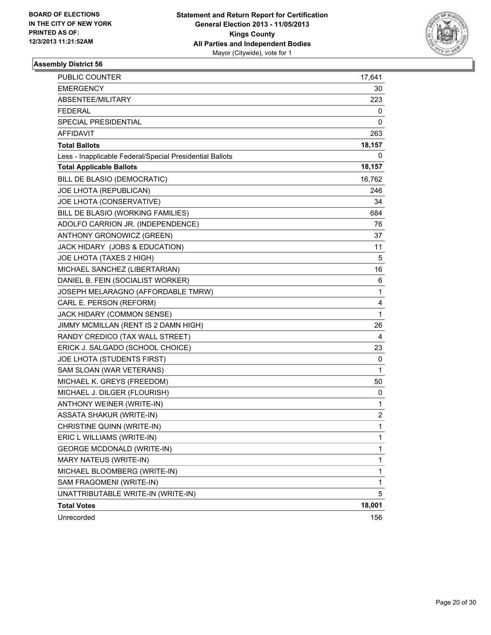

| PUBLIC COUNTER                                           | 17,641       |
|----------------------------------------------------------|--------------|
| <b>EMERGENCY</b>                                         | 30           |
| ABSENTEE/MILITARY                                        | 223          |
| <b>FEDERAL</b>                                           | 0            |
| SPECIAL PRESIDENTIAL                                     | 0            |
| <b>AFFIDAVIT</b>                                         | 263          |
| <b>Total Ballots</b>                                     | 18,157       |
| Less - Inapplicable Federal/Special Presidential Ballots | 0            |
| <b>Total Applicable Ballots</b>                          | 18,157       |
| BILL DE BLASIO (DEMOCRATIC)                              | 16,762       |
| JOE LHOTA (REPUBLICAN)                                   | 246          |
| JOE LHOTA (CONSERVATIVE)                                 | 34           |
| BILL DE BLASIO (WORKING FAMILIES)                        | 684          |
| ADOLFO CARRION JR. (INDEPENDENCE)                        | 76           |
| ANTHONY GRONOWICZ (GREEN)                                | 37           |
| JACK HIDARY (JOBS & EDUCATION)                           | 11           |
| JOE LHOTA (TAXES 2 HIGH)                                 | 5            |
| MICHAEL SANCHEZ (LIBERTARIAN)                            | 16           |
| DANIEL B. FEIN (SOCIALIST WORKER)                        | 6            |
| JOSEPH MELARAGNO (AFFORDABLE TMRW)                       | 1            |
| CARL E. PERSON (REFORM)                                  | 4            |
| JACK HIDARY (COMMON SENSE)                               | 1            |
| JIMMY MCMILLAN (RENT IS 2 DAMN HIGH)                     | 26           |
| RANDY CREDICO (TAX WALL STREET)                          | 4            |
| ERICK J. SALGADO (SCHOOL CHOICE)                         | 23           |
| JOE LHOTA (STUDENTS FIRST)                               | 0            |
| SAM SLOAN (WAR VETERANS)                                 | $\mathbf{1}$ |
| MICHAEL K. GREYS (FREEDOM)                               | 50           |
| MICHAEL J. DILGER (FLOURISH)                             | 0            |
| ANTHONY WEINER (WRITE-IN)                                | 1            |
| <b>ASSATA SHAKUR (WRITE-IN)</b>                          | 2            |
| CHRISTINE QUINN (WRITE-IN)                               | 1            |
| ERIC L WILLIAMS (WRITE-IN)                               | 1            |
| <b>GEORGE MCDONALD (WRITE-IN)</b>                        | 1            |
| MARY NATEUS (WRITE-IN)                                   | 1            |
| MICHAEL BLOOMBERG (WRITE-IN)                             | $\mathbf 1$  |
| SAM FRAGOMENI (WRITE-IN)                                 | $\mathbf{1}$ |
| UNATTRIBUTABLE WRITE-IN (WRITE-IN)                       | 5            |
| <b>Total Votes</b>                                       | 18,001       |
| Unrecorded                                               | 156          |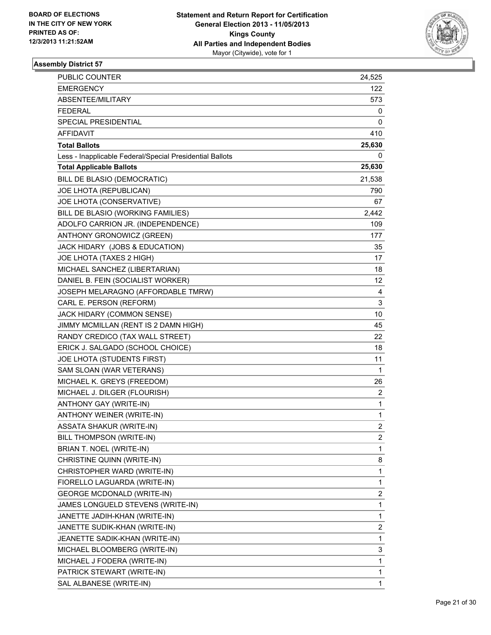

| PUBLIC COUNTER                                           | 24,525         |
|----------------------------------------------------------|----------------|
| <b>EMERGENCY</b>                                         | 122            |
| ABSENTEE/MILITARY                                        | 573.           |
| <b>FEDERAL</b>                                           | 0              |
| <b>SPECIAL PRESIDENTIAL</b>                              | 0              |
| AFFIDAVIT                                                | 410            |
| <b>Total Ballots</b>                                     | 25,630         |
| Less - Inapplicable Federal/Special Presidential Ballots | 0              |
| <b>Total Applicable Ballots</b>                          | 25,630         |
| BILL DE BLASIO (DEMOCRATIC)                              | 21,538         |
| JOE LHOTA (REPUBLICAN)                                   | 790            |
| JOE LHOTA (CONSERVATIVE)                                 | 67             |
| BILL DE BLASIO (WORKING FAMILIES)                        | 2,442          |
| ADOLFO CARRION JR. (INDEPENDENCE)                        | 109            |
| ANTHONY GRONOWICZ (GREEN)                                | 177            |
| JACK HIDARY (JOBS & EDUCATION)                           | 35             |
| JOE LHOTA (TAXES 2 HIGH)                                 | 17             |
| MICHAEL SANCHEZ (LIBERTARIAN)                            | 18             |
| DANIEL B. FEIN (SOCIALIST WORKER)                        | 12             |
| JOSEPH MELARAGNO (AFFORDABLE TMRW)                       | 4              |
| CARL E. PERSON (REFORM)                                  | 3              |
| JACK HIDARY (COMMON SENSE)                               | 10             |
| JIMMY MCMILLAN (RENT IS 2 DAMN HIGH)                     | 45             |
| RANDY CREDICO (TAX WALL STREET)                          | 22             |
| ERICK J. SALGADO (SCHOOL CHOICE)                         | 18             |
| JOE LHOTA (STUDENTS FIRST)                               | 11             |
| SAM SLOAN (WAR VETERANS)                                 | 1              |
| MICHAEL K. GREYS (FREEDOM)                               | 26             |
| MICHAEL J. DILGER (FLOURISH)                             | $\mathbf{2}$   |
| ANTHONY GAY (WRITE-IN)                                   | 1              |
| ANTHONY WEINER (WRITE-IN)                                | 1              |
| <b>ASSATA SHAKUR (WRITE-IN)</b>                          | $\overline{2}$ |
| BILL THOMPSON (WRITE-IN)                                 | $\mathbf{2}$   |
| BRIAN T. NOEL (WRITE-IN)                                 | 1              |
| CHRISTINE QUINN (WRITE-IN)                               | 8              |
| CHRISTOPHER WARD (WRITE-IN)                              | 1              |
| FIORELLO LAGUARDA (WRITE-IN)                             | 1              |
| <b>GEORGE MCDONALD (WRITE-IN)</b>                        | 2              |
| JAMES LONGUELD STEVENS (WRITE-IN)                        | 1              |
| JANETTE JADIH-KHAN (WRITE-IN)                            | 1              |
| JANETTE SUDIK-KHAN (WRITE-IN)                            | 2              |
| JEANETTE SADIK-KHAN (WRITE-IN)                           | 1              |
| MICHAEL BLOOMBERG (WRITE-IN)                             | 3              |
| MICHAEL J FODERA (WRITE-IN)                              | 1              |
| PATRICK STEWART (WRITE-IN)                               | 1              |
| SAL ALBANESE (WRITE-IN)                                  | 1              |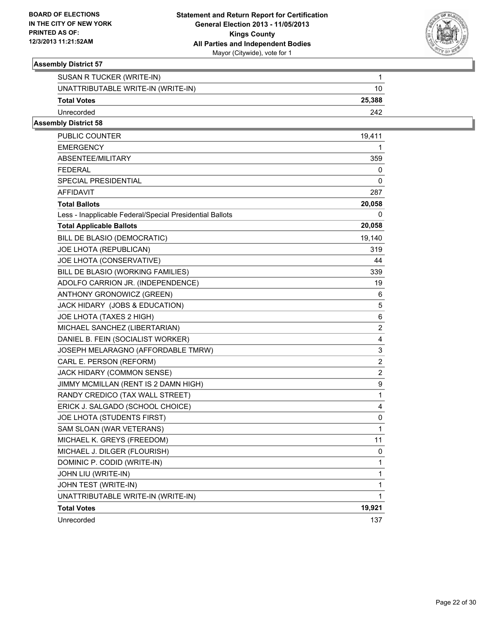

| SUSAN R TUCKER (WRITE-IN)          |        |
|------------------------------------|--------|
| UNATTRIBUTABLE WRITE-IN (WRITE-IN) |        |
| <b>Total Votes</b>                 | 25,388 |
| Unrecorded                         | 242    |

| PUBLIC COUNTER                                           | 19,411         |
|----------------------------------------------------------|----------------|
| EMERGENCY                                                | 1              |
| ABSENTEE/MILITARY                                        | 359            |
| FEDERAL                                                  | 0              |
| SPECIAL PRESIDENTIAL                                     | 0              |
| <b>AFFIDAVIT</b>                                         | 287            |
| <b>Total Ballots</b>                                     | 20,058         |
| Less - Inapplicable Federal/Special Presidential Ballots | 0              |
| <b>Total Applicable Ballots</b>                          | 20,058         |
| BILL DE BLASIO (DEMOCRATIC)                              | 19,140         |
| JOE LHOTA (REPUBLICAN)                                   | 319            |
| JOE LHOTA (CONSERVATIVE)                                 | 44             |
| BILL DE BLASIO (WORKING FAMILIES)                        | 339            |
| ADOLFO CARRION JR. (INDEPENDENCE)                        | 19             |
| ANTHONY GRONOWICZ (GREEN)                                | 6              |
| JACK HIDARY (JOBS & EDUCATION)                           | 5              |
| JOE LHOTA (TAXES 2 HIGH)                                 | 6              |
| MICHAEL SANCHEZ (LIBERTARIAN)                            | $\overline{2}$ |
| DANIEL B. FEIN (SOCIALIST WORKER)                        | 4              |
| JOSEPH MELARAGNO (AFFORDABLE TMRW)                       | 3              |
| CARL E. PERSON (REFORM)                                  | 2              |
| <b>JACK HIDARY (COMMON SENSE)</b>                        | $\overline{2}$ |
| JIMMY MCMILLAN (RENT IS 2 DAMN HIGH)                     | 9              |
| RANDY CREDICO (TAX WALL STREET)                          | 1              |
| ERICK J. SALGADO (SCHOOL CHOICE)                         | 4              |
| JOE LHOTA (STUDENTS FIRST)                               | 0              |
| SAM SLOAN (WAR VETERANS)                                 | 1              |
| MICHAEL K. GREYS (FREEDOM)                               | 11             |
| MICHAEL J. DILGER (FLOURISH)                             | 0              |
| DOMINIC P. CODID (WRITE-IN)                              | 1              |
| JOHN LIU (WRITE-IN)                                      | 1              |
| JOHN TEST (WRITE-IN)                                     | 1              |
| UNATTRIBUTABLE WRITE-IN (WRITE-IN)                       | 1              |
| <b>Total Votes</b>                                       | 19,921         |
| Unrecorded                                               | 137            |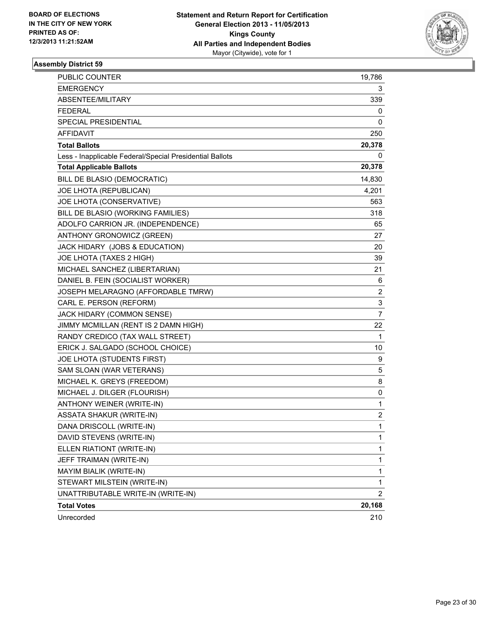

| PUBLIC COUNTER                                           | 19,786         |
|----------------------------------------------------------|----------------|
| <b>EMERGENCY</b>                                         | 3              |
| ABSENTEE/MILITARY                                        | 339            |
| <b>FEDERAL</b>                                           | 0              |
| SPECIAL PRESIDENTIAL                                     | 0              |
| AFFIDAVIT                                                | 250            |
| <b>Total Ballots</b>                                     | 20,378         |
| Less - Inapplicable Federal/Special Presidential Ballots | 0              |
| <b>Total Applicable Ballots</b>                          | 20,378         |
| BILL DE BLASIO (DEMOCRATIC)                              | 14,830         |
| JOE LHOTA (REPUBLICAN)                                   | 4,201          |
| JOE LHOTA (CONSERVATIVE)                                 | 563            |
| BILL DE BLASIO (WORKING FAMILIES)                        | 318            |
| ADOLFO CARRION JR. (INDEPENDENCE)                        | 65             |
| ANTHONY GRONOWICZ (GREEN)                                | 27             |
| JACK HIDARY (JOBS & EDUCATION)                           | 20             |
| JOE LHOTA (TAXES 2 HIGH)                                 | 39             |
| MICHAEL SANCHEZ (LIBERTARIAN)                            | 21             |
| DANIEL B. FEIN (SOCIALIST WORKER)                        | 6              |
| JOSEPH MELARAGNO (AFFORDABLE TMRW)                       | 2              |
| CARL E. PERSON (REFORM)                                  | 3              |
| JACK HIDARY (COMMON SENSE)                               | 7              |
| JIMMY MCMILLAN (RENT IS 2 DAMN HIGH)                     | 22             |
| RANDY CREDICO (TAX WALL STREET)                          | 1              |
| ERICK J. SALGADO (SCHOOL CHOICE)                         | 10             |
| JOE LHOTA (STUDENTS FIRST)                               | 9              |
| SAM SLOAN (WAR VETERANS)                                 | 5              |
| MICHAEL K. GREYS (FREEDOM)                               | 8              |
| MICHAEL J. DILGER (FLOURISH)                             | 0              |
| ANTHONY WEINER (WRITE-IN)                                | $\mathbf{1}$   |
| ASSATA SHAKUR (WRITE-IN)                                 | 2              |
| DANA DRISCOLL (WRITE-IN)                                 | 1              |
| DAVID STEVENS (WRITE-IN)                                 | $\mathbf 1$    |
| ELLEN RIATIONT (WRITE-IN)                                | 1              |
| JEFF TRAIMAN (WRITE-IN)                                  | $\mathbf{1}$   |
| MAYIM BIALIK (WRITE-IN)                                  | $\mathbf{1}$   |
| STEWART MILSTEIN (WRITE-IN)                              | 1              |
| UNATTRIBUTABLE WRITE-IN (WRITE-IN)                       | $\overline{2}$ |
| <b>Total Votes</b>                                       | 20,168         |
| Unrecorded                                               | 210            |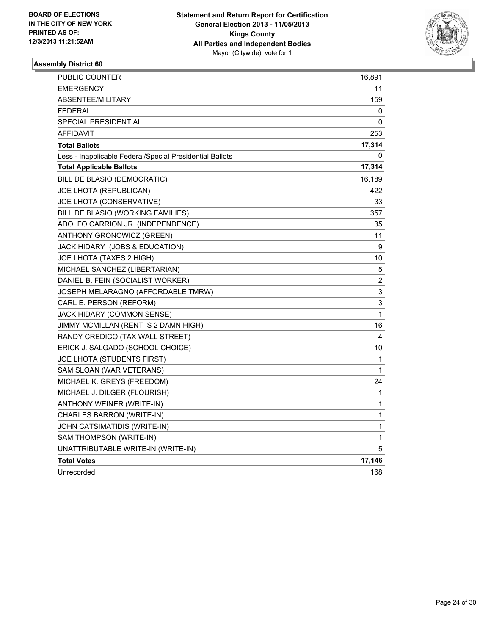

| PUBLIC COUNTER                                           | 16,891 |
|----------------------------------------------------------|--------|
| <b>EMERGENCY</b>                                         | 11     |
| ABSENTEE/MILITARY                                        | 159    |
| <b>FEDERAL</b>                                           | 0      |
| <b>SPECIAL PRESIDENTIAL</b>                              | 0      |
| <b>AFFIDAVIT</b>                                         | 253    |
| <b>Total Ballots</b>                                     | 17,314 |
| Less - Inapplicable Federal/Special Presidential Ballots | 0      |
| <b>Total Applicable Ballots</b>                          | 17,314 |
| BILL DE BLASIO (DEMOCRATIC)                              | 16,189 |
| JOE LHOTA (REPUBLICAN)                                   | 422    |
| JOE LHOTA (CONSERVATIVE)                                 | 33     |
| BILL DE BLASIO (WORKING FAMILIES)                        | 357    |
| ADOLFO CARRION JR. (INDEPENDENCE)                        | 35     |
| ANTHONY GRONOWICZ (GREEN)                                | 11     |
| JACK HIDARY (JOBS & EDUCATION)                           | 9      |
| JOE LHOTA (TAXES 2 HIGH)                                 | 10     |
| MICHAEL SANCHEZ (LIBERTARIAN)                            | 5      |
| DANIEL B. FEIN (SOCIALIST WORKER)                        | 2      |
| JOSEPH MELARAGNO (AFFORDABLE TMRW)                       | 3      |
| CARL E. PERSON (REFORM)                                  | 3      |
| JACK HIDARY (COMMON SENSE)                               | 1      |
| JIMMY MCMILLAN (RENT IS 2 DAMN HIGH)                     | 16     |
| RANDY CREDICO (TAX WALL STREET)                          | 4      |
| ERICK J. SALGADO (SCHOOL CHOICE)                         | 10     |
| JOE LHOTA (STUDENTS FIRST)                               | 1      |
| SAM SLOAN (WAR VETERANS)                                 | 1      |
| MICHAEL K. GREYS (FREEDOM)                               | 24     |
| MICHAEL J. DILGER (FLOURISH)                             | 1      |
| ANTHONY WEINER (WRITE-IN)                                | 1      |
| CHARLES BARRON (WRITE-IN)                                | 1      |
| JOHN CATSIMATIDIS (WRITE-IN)                             | 1      |
| SAM THOMPSON (WRITE-IN)                                  | 1      |
| UNATTRIBUTABLE WRITE-IN (WRITE-IN)                       | 5      |
| <b>Total Votes</b>                                       | 17,146 |
| Unrecorded                                               | 168    |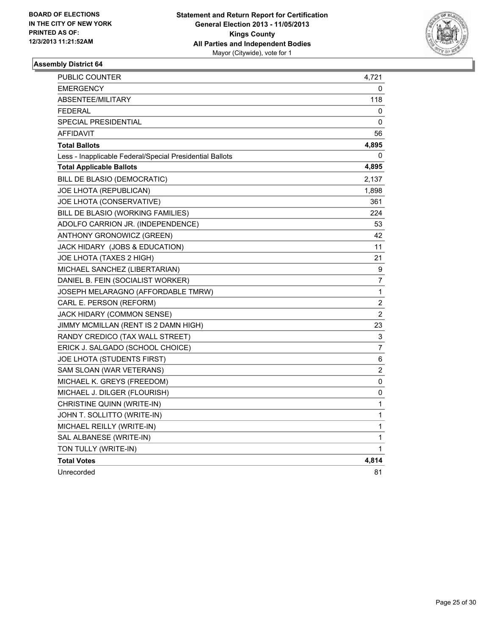

| PUBLIC COUNTER                                           | 4,721          |
|----------------------------------------------------------|----------------|
| <b>EMERGENCY</b>                                         | 0              |
| ABSENTEE/MILITARY                                        | 118            |
| <b>FEDERAL</b>                                           | 0              |
| SPECIAL PRESIDENTIAL                                     | 0              |
| <b>AFFIDAVIT</b>                                         | 56             |
| <b>Total Ballots</b>                                     | 4,895          |
| Less - Inapplicable Federal/Special Presidential Ballots | 0              |
| <b>Total Applicable Ballots</b>                          | 4,895          |
| BILL DE BLASIO (DEMOCRATIC)                              | 2,137          |
| JOE LHOTA (REPUBLICAN)                                   | 1,898          |
| JOE LHOTA (CONSERVATIVE)                                 | 361            |
| BILL DE BLASIO (WORKING FAMILIES)                        | 224            |
| ADOLFO CARRION JR. (INDEPENDENCE)                        | 53             |
| ANTHONY GRONOWICZ (GREEN)                                | 42             |
| JACK HIDARY (JOBS & EDUCATION)                           | 11             |
| JOE LHOTA (TAXES 2 HIGH)                                 | 21             |
| MICHAEL SANCHEZ (LIBERTARIAN)                            | 9              |
| DANIEL B. FEIN (SOCIALIST WORKER)                        | 7              |
| JOSEPH MELARAGNO (AFFORDABLE TMRW)                       | 1              |
| CARL E. PERSON (REFORM)                                  | 2              |
| JACK HIDARY (COMMON SENSE)                               | $\overline{2}$ |
| JIMMY MCMILLAN (RENT IS 2 DAMN HIGH)                     | 23             |
| RANDY CREDICO (TAX WALL STREET)                          | 3              |
| ERICK J. SALGADO (SCHOOL CHOICE)                         | $\overline{7}$ |
| JOE LHOTA (STUDENTS FIRST)                               | 6              |
| SAM SLOAN (WAR VETERANS)                                 | 2              |
| MICHAEL K. GREYS (FREEDOM)                               | 0              |
| MICHAEL J. DILGER (FLOURISH)                             | 0              |
| CHRISTINE QUINN (WRITE-IN)                               | 1              |
| JOHN T. SOLLITTO (WRITE-IN)                              | $\mathbf{1}$   |
| MICHAEL REILLY (WRITE-IN)                                | $\mathbf{1}$   |
| SAL ALBANESE (WRITE-IN)                                  | 1              |
| TON TULLY (WRITE-IN)                                     | 1              |
| <b>Total Votes</b>                                       | 4,814          |
| Unrecorded                                               | 81             |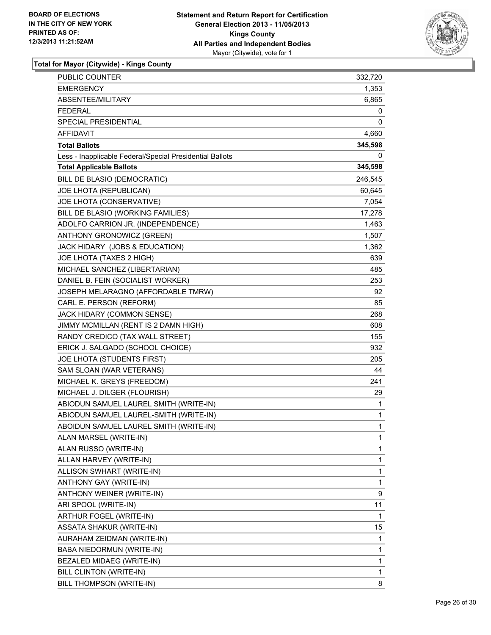

| PUBLIC COUNTER                                           | 332,720      |
|----------------------------------------------------------|--------------|
| EMERGENCY                                                | 1,353        |
| ABSENTEE/MILITARY                                        | 6,865        |
| <b>FEDERAL</b>                                           | 0            |
| SPECIAL PRESIDENTIAL                                     | 0            |
| <b>AFFIDAVIT</b>                                         | 4,660        |
| <b>Total Ballots</b>                                     | 345,598      |
| Less - Inapplicable Federal/Special Presidential Ballots | 0            |
| <b>Total Applicable Ballots</b>                          | 345,598      |
| BILL DE BLASIO (DEMOCRATIC)                              | 246,545      |
| JOE LHOTA (REPUBLICAN)                                   | 60,645       |
| JOE LHOTA (CONSERVATIVE)                                 | 7,054        |
| BILL DE BLASIO (WORKING FAMILIES)                        | 17,278       |
| ADOLFO CARRION JR. (INDEPENDENCE)                        | 1,463        |
| ANTHONY GRONOWICZ (GREEN)                                | 1,507        |
| JACK HIDARY (JOBS & EDUCATION)                           | 1,362        |
| JOE LHOTA (TAXES 2 HIGH)                                 | 639          |
| MICHAEL SANCHEZ (LIBERTARIAN)                            | 485          |
| DANIEL B. FEIN (SOCIALIST WORKER)                        | 253          |
| JOSEPH MELARAGNO (AFFORDABLE TMRW)                       | 92           |
| CARL E. PERSON (REFORM)                                  | 85           |
| JACK HIDARY (COMMON SENSE)                               | 268          |
| JIMMY MCMILLAN (RENT IS 2 DAMN HIGH)                     | 608          |
| RANDY CREDICO (TAX WALL STREET)                          | 155          |
| ERICK J. SALGADO (SCHOOL CHOICE)                         | 932          |
| JOE LHOTA (STUDENTS FIRST)                               | 205          |
| SAM SLOAN (WAR VETERANS)                                 | 44           |
| MICHAEL K. GREYS (FREEDOM)                               | 241          |
| MICHAEL J. DILGER (FLOURISH)                             | 29           |
| ABIODUN SAMUEL LAUREL SMITH (WRITE-IN)                   | 1            |
| ABIODUN SAMUEL LAUREL-SMITH (WRITE-IN)                   | $\mathbf 1$  |
| ABOIDUN SAMUEL LAUREL SMITH (WRITE-IN)                   | $\mathbf{1}$ |
| ALAN MARSEL (WRITE-IN)                                   | 1            |
| ALAN RUSSO (WRITE-IN)                                    | 1            |
| ALLAN HARVEY (WRITE-IN)                                  | 1            |
| ALLISON SWHART (WRITE-IN)                                | $\mathbf{1}$ |
| ANTHONY GAY (WRITE-IN)                                   | 1            |
| ANTHONY WEINER (WRITE-IN)                                | 9            |
| ARI SPOOL (WRITE-IN)                                     | 11           |
| ARTHUR FOGEL (WRITE-IN)                                  | 1            |
| ASSATA SHAKUR (WRITE-IN)                                 | 15           |
| AURAHAM ZEIDMAN (WRITE-IN)                               | 1            |
| BABA NIEDORMUN (WRITE-IN)                                | 1            |
| BEZALED MIDAEG (WRITE-IN)                                | 1            |
| BILL CLINTON (WRITE-IN)                                  | 1            |
| BILL THOMPSON (WRITE-IN)                                 | 8            |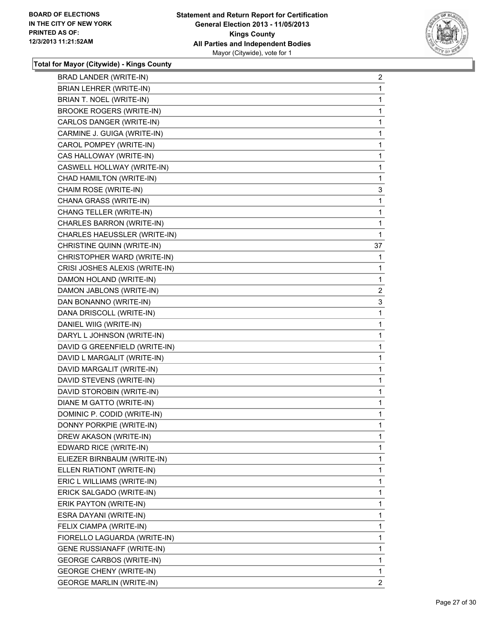

| BRAD LANDER (WRITE-IN)            | 2              |
|-----------------------------------|----------------|
| BRIAN LEHRER (WRITE-IN)           | 1              |
| BRIAN T. NOEL (WRITE-IN)          | 1              |
| <b>BROOKE ROGERS (WRITE-IN)</b>   | 1              |
| CARLOS DANGER (WRITE-IN)          | 1              |
| CARMINE J. GUIGA (WRITE-IN)       | 1              |
| CAROL POMPEY (WRITE-IN)           | $\mathbf 1$    |
| CAS HALLOWAY (WRITE-IN)           | 1              |
| CASWELL HOLLWAY (WRITE-IN)        | 1              |
| CHAD HAMILTON (WRITE-IN)          | 1              |
| CHAIM ROSE (WRITE-IN)             | 3              |
| CHANA GRASS (WRITE-IN)            | 1              |
| CHANG TELLER (WRITE-IN)           | 1              |
| CHARLES BARRON (WRITE-IN)         | 1              |
| CHARLES HAEUSSLER (WRITE-IN)      | 1              |
| CHRISTINE QUINN (WRITE-IN)        | 37             |
| CHRISTOPHER WARD (WRITE-IN)       | 1              |
| CRISI JOSHES ALEXIS (WRITE-IN)    | 1              |
| DAMON HOLAND (WRITE-IN)           | 1              |
| DAMON JABLONS (WRITE-IN)          | $\overline{c}$ |
| DAN BONANNO (WRITE-IN)            | 3              |
| DANA DRISCOLL (WRITE-IN)          | 1              |
| DANIEL WIIG (WRITE-IN)            | 1              |
| DARYL L JOHNSON (WRITE-IN)        | 1              |
| DAVID G GREENFIELD (WRITE-IN)     | $\mathbf 1$    |
| DAVID L MARGALIT (WRITE-IN)       | 1              |
| DAVID MARGALIT (WRITE-IN)         | 1              |
| DAVID STEVENS (WRITE-IN)          | 1              |
| DAVID STOROBIN (WRITE-IN)         | 1              |
| DIANE M GATTO (WRITE-IN)          | 1              |
| DOMINIC P. CODID (WRITE-IN)       | $\mathbf 1$    |
| DONNY PORKPIE (WRITE-IN)          | 1              |
| DREW AKASON (WRITE-IN)            | 1              |
| EDWARD RICE (WRITE-IN)            | 1              |
| ELIEZER BIRNBAUM (WRITE-IN)       | 1              |
| ELLEN RIATIONT (WRITE-IN)         | 1              |
| ERIC L WILLIAMS (WRITE-IN)        | 1              |
| ERICK SALGADO (WRITE-IN)          | 1              |
| ERIK PAYTON (WRITE-IN)            | 1              |
| ESRA DAYANI (WRITE-IN)            | 1              |
| FELIX CIAMPA (WRITE-IN)           | 1              |
| FIORELLO LAGUARDA (WRITE-IN)      | 1              |
| <b>GENE RUSSIANAFF (WRITE-IN)</b> | 1              |
| <b>GEORGE CARBOS (WRITE-IN)</b>   | 1              |
| <b>GEORGE CHENY (WRITE-IN)</b>    | 1              |
| <b>GEORGE MARLIN (WRITE-IN)</b>   | 2              |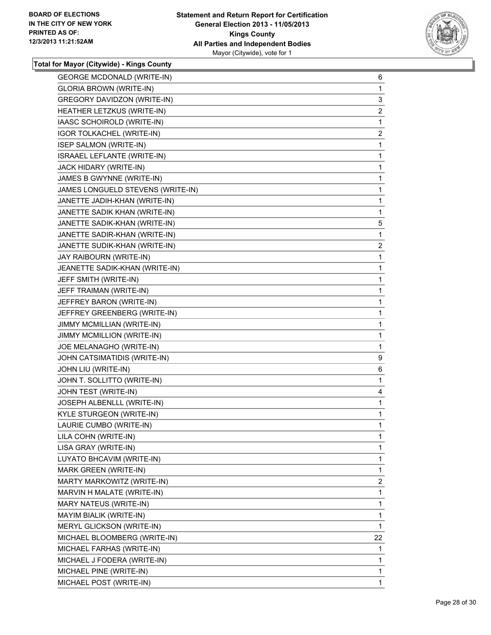

| <b>GEORGE MCDONALD (WRITE-IN)</b>  | 6              |
|------------------------------------|----------------|
| <b>GLORIA BROWN (WRITE-IN)</b>     | 1              |
| <b>GREGORY DAVIDZON (WRITE-IN)</b> | 3              |
| HEATHER LETZKUS (WRITE-IN)         | $\overline{2}$ |
| IAASC SCHOIROLD (WRITE-IN)         | 1              |
| IGOR TOLKACHEL (WRITE-IN)          | $\mathbf{2}$   |
| <b>ISEP SALMON (WRITE-IN)</b>      | 1              |
| ISRAAEL LEFLANTE (WRITE-IN)        | 1              |
| JACK HIDARY (WRITE-IN)             | 1              |
| JAMES B GWYNNE (WRITE-IN)          | 1              |
| JAMES LONGUELD STEVENS (WRITE-IN)  | 1              |
| JANETTE JADIH-KHAN (WRITE-IN)      | 1              |
| JANETTE SADIK KHAN (WRITE-IN)      | 1              |
| JANETTE SADIK-KHAN (WRITE-IN)      | 5              |
| JANETTE SADIR-KHAN (WRITE-IN)      | 1              |
| JANETTE SUDIK-KHAN (WRITE-IN)      | $\overline{2}$ |
| JAY RAIBOURN (WRITE-IN)            | 1              |
| JEANETTE SADIK-KHAN (WRITE-IN)     | 1              |
| JEFF SMITH (WRITE-IN)              | 1              |
| JEFF TRAIMAN (WRITE-IN)            | 1              |
| JEFFREY BARON (WRITE-IN)           | 1              |
| JEFFREY GREENBERG (WRITE-IN)       | 1              |
| JIMMY MCMILLIAN (WRITE-IN)         | 1              |
| JIMMY MCMILLION (WRITE-IN)         | 1              |
| JOE MELANAGHO (WRITE-IN)           | 1              |
| JOHN CATSIMATIDIS (WRITE-IN)       | 9              |
| JOHN LIU (WRITE-IN)                | 6              |
| JOHN T. SOLLITTO (WRITE-IN)        | 1              |
| JOHN TEST (WRITE-IN)               | 4              |
| JOSEPH ALBENLLL (WRITE-IN)         | 1              |
| KYLE STURGEON (WRITE-IN)           | 1              |
| LAURIE CUMBO (WRITE-IN)            | 1              |
| LILA COHN (WRITE-IN)               | 1              |
| LISA GRAY (WRITE-IN)               | 1              |
| LUYATO BHCAVIM (WRITE-IN)          | 1              |
| MARK GREEN (WRITE-IN)              | 1              |
| MARTY MARKOWITZ (WRITE-IN)         | 2              |
| MARVIN H MALATE (WRITE-IN)         | 1              |
| MARY NATEUS (WRITE-IN)             | 1              |
| MAYIM BIALIK (WRITE-IN)            | 1              |
| MERYL GLICKSON (WRITE-IN)          | 1              |
| MICHAEL BLOOMBERG (WRITE-IN)       | 22             |
| MICHAEL FARHAS (WRITE-IN)          | 1              |
| MICHAEL J FODERA (WRITE-IN)        | 1              |
| MICHAEL PINE (WRITE-IN)            | 1              |
| MICHAEL POST (WRITE-IN)            | $\mathbf{1}$   |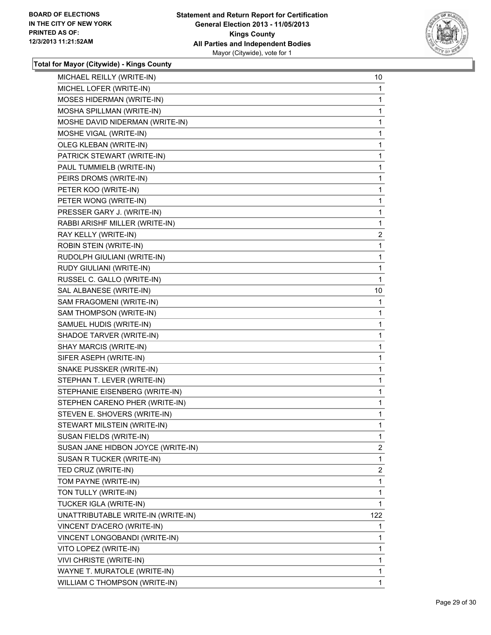

| MICHAEL REILLY (WRITE-IN)          | 10             |
|------------------------------------|----------------|
| MICHEL LOFER (WRITE-IN)            | 1              |
| MOSES HIDERMAN (WRITE-IN)          | 1              |
| MOSHA SPILLMAN (WRITE-IN)          | 1              |
| MOSHE DAVID NIDERMAN (WRITE-IN)    | 1              |
| MOSHE VIGAL (WRITE-IN)             | 1              |
| OLEG KLEBAN (WRITE-IN)             | 1              |
| PATRICK STEWART (WRITE-IN)         | 1              |
| PAUL TUMMIELB (WRITE-IN)           | 1              |
| PEIRS DROMS (WRITE-IN)             | 1              |
| PETER KOO (WRITE-IN)               | 1              |
| PETER WONG (WRITE-IN)              | 1              |
| PRESSER GARY J. (WRITE-IN)         | 1              |
| RABBI ARISHF MILLER (WRITE-IN)     | 1              |
| RAY KELLY (WRITE-IN)               | $\overline{2}$ |
| ROBIN STEIN (WRITE-IN)             | 1              |
| RUDOLPH GIULIANI (WRITE-IN)        | 1              |
| RUDY GIULIANI (WRITE-IN)           | 1              |
| RUSSEL C. GALLO (WRITE-IN)         | 1              |
| SAL ALBANESE (WRITE-IN)            | 10             |
| SAM FRAGOMENI (WRITE-IN)           | 1              |
| SAM THOMPSON (WRITE-IN)            | 1              |
| SAMUEL HUDIS (WRITE-IN)            | 1              |
| SHADOE TARVER (WRITE-IN)           | 1              |
| SHAY MARCIS (WRITE-IN)             | 1              |
| SIFER ASEPH (WRITE-IN)             | 1              |
| SNAKE PUSSKER (WRITE-IN)           | 1              |
| STEPHAN T. LEVER (WRITE-IN)        | 1              |
| STEPHANIE EISENBERG (WRITE-IN)     | 1              |
| STEPHEN CARENO PHER (WRITE-IN)     | 1              |
| STEVEN E. SHOVERS (WRITE-IN)       | 1              |
| STEWART MILSTEIN (WRITE-IN)        | 1              |
| SUSAN FIELDS (WRITE-IN)            | 1              |
| SUSAN JANE HIDBON JOYCE (WRITE-IN) | $\overline{2}$ |
| SUSAN R TUCKER (WRITE-IN)          | 1              |
| TED CRUZ (WRITE-IN)                | 2              |
| TOM PAYNE (WRITE-IN)               | 1              |
| TON TULLY (WRITE-IN)               | 1              |
| TUCKER IGLA (WRITE-IN)             | 1              |
| UNATTRIBUTABLE WRITE-IN (WRITE-IN) | 122            |
| VINCENT D'ACERO (WRITE-IN)         | 1              |
| VINCENT LONGOBANDI (WRITE-IN)      | 1              |
| VITO LOPEZ (WRITE-IN)              | 1              |
| VIVI CHRISTE (WRITE-IN)            | 1              |
| WAYNE T. MURATOLE (WRITE-IN)       | 1              |
| WILLIAM C THOMPSON (WRITE-IN)      | 1              |